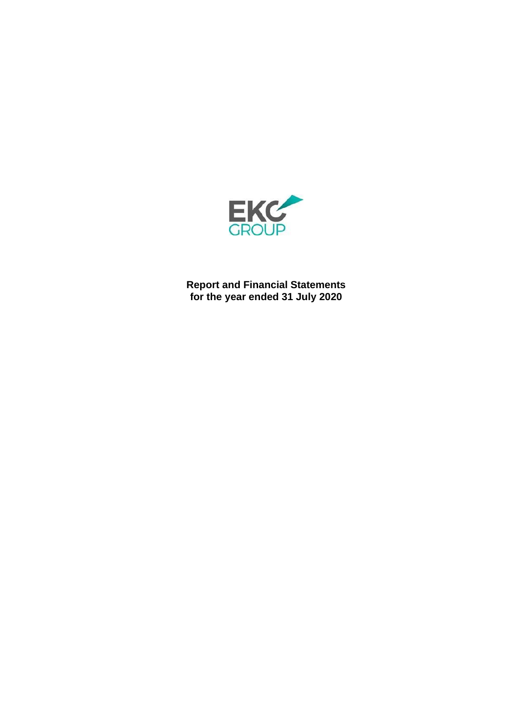

**Report and Financial Statements for the year ended 31 July 2020**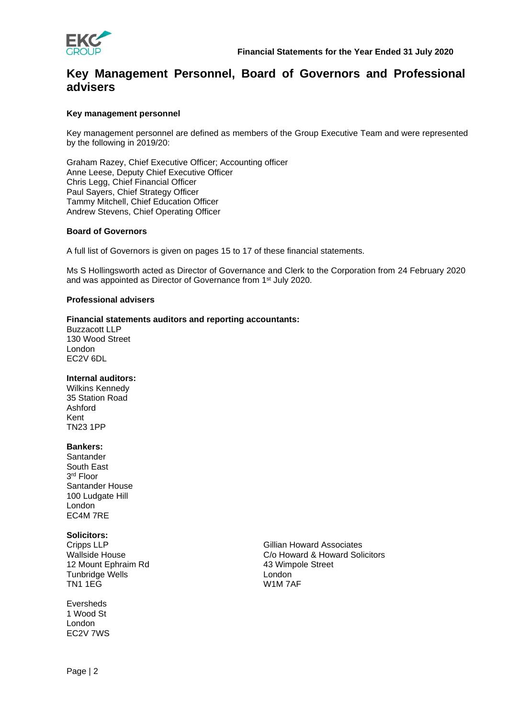

## **Key Management Personnel, Board of Governors and Professional advisers**

### **Key management personnel**

Key management personnel are defined as members of the Group Executive Team and were represented by the following in 2019/20:

Graham Razey, Chief Executive Officer; Accounting officer Anne Leese, Deputy Chief Executive Officer Chris Legg, Chief Financial Officer Paul Sayers, Chief Strategy Officer Tammy Mitchell, Chief Education Officer Andrew Stevens, Chief Operating Officer

### **Board of Governors**

A full list of Governors is given on pages 15 to 17 of these financial statements.

Ms S Hollingsworth acted as Director of Governance and Clerk to the Corporation from 24 February 2020 and was appointed as Director of Governance from 1st July 2020.

### **Professional advisers**

### **Financial statements auditors and reporting accountants:**

Buzzacott LLP 130 Wood Street London EC2V 6DL

### **Internal auditors:**

Wilkins Kennedy 35 Station Road Ashford Kent TN23 1PP

### **Bankers:**

Santander South East 3 rd Floor Santander House 100 Ludgate Hill London EC4M 7RE

### **Solicitors:**

Cripps LLP Wallside House 12 Mount Ephraim Rd Tunbridge Wells TN1 1EG

Eversheds 1 Wood St London EC2V 7WS Gillian Howard Associates C/o Howard & Howard Solicitors 43 Wimpole Street London W1M 7AF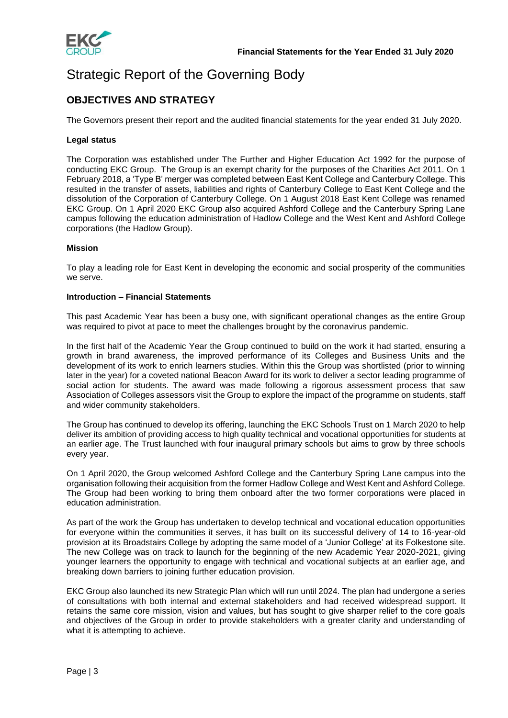

# Strategic Report of the Governing Body

## **OBJECTIVES AND STRATEGY**

The Governors present their report and the audited financial statements for the year ended 31 July 2020.

### **Legal status**

The Corporation was established under The Further and Higher Education Act 1992 for the purpose of conducting EKC Group. The Group is an exempt charity for the purposes of the Charities Act 2011. On 1 February 2018, a 'Type B' merger was completed between East Kent College and Canterbury College. This resulted in the transfer of assets, liabilities and rights of Canterbury College to East Kent College and the dissolution of the Corporation of Canterbury College. On 1 August 2018 East Kent College was renamed EKC Group. On 1 April 2020 EKC Group also acquired Ashford College and the Canterbury Spring Lane campus following the education administration of Hadlow College and the West Kent and Ashford College corporations (the Hadlow Group).

### **Mission**

To play a leading role for East Kent in developing the economic and social prosperity of the communities we serve.

### **Introduction – Financial Statements**

This past Academic Year has been a busy one, with significant operational changes as the entire Group was required to pivot at pace to meet the challenges brought by the coronavirus pandemic.

In the first half of the Academic Year the Group continued to build on the work it had started, ensuring a growth in brand awareness, the improved performance of its Colleges and Business Units and the development of its work to enrich learners studies. Within this the Group was shortlisted (prior to winning later in the year) for a coveted national Beacon Award for its work to deliver a sector leading programme of social action for students. The award was made following a rigorous assessment process that saw Association of Colleges assessors visit the Group to explore the impact of the programme on students, staff and wider community stakeholders.

The Group has continued to develop its offering, launching the EKC Schools Trust on 1 March 2020 to help deliver its ambition of providing access to high quality technical and vocational opportunities for students at an earlier age. The Trust launched with four inaugural primary schools but aims to grow by three schools every year.

On 1 April 2020, the Group welcomed Ashford College and the Canterbury Spring Lane campus into the organisation following their acquisition from the former Hadlow College and West Kent and Ashford College. The Group had been working to bring them onboard after the two former corporations were placed in education administration.

As part of the work the Group has undertaken to develop technical and vocational education opportunities for everyone within the communities it serves, it has built on its successful delivery of 14 to 16-year-old provision at its Broadstairs College by adopting the same model of a 'Junior College' at its Folkestone site. The new College was on track to launch for the beginning of the new Academic Year 2020-2021, giving younger learners the opportunity to engage with technical and vocational subjects at an earlier age, and breaking down barriers to joining further education provision.

EKC Group also launched its new Strategic Plan which will run until 2024. The plan had undergone a series of consultations with both internal and external stakeholders and had received widespread support. It retains the same core mission, vision and values, but has sought to give sharper relief to the core goals and objectives of the Group in order to provide stakeholders with a greater clarity and understanding of what it is attempting to achieve.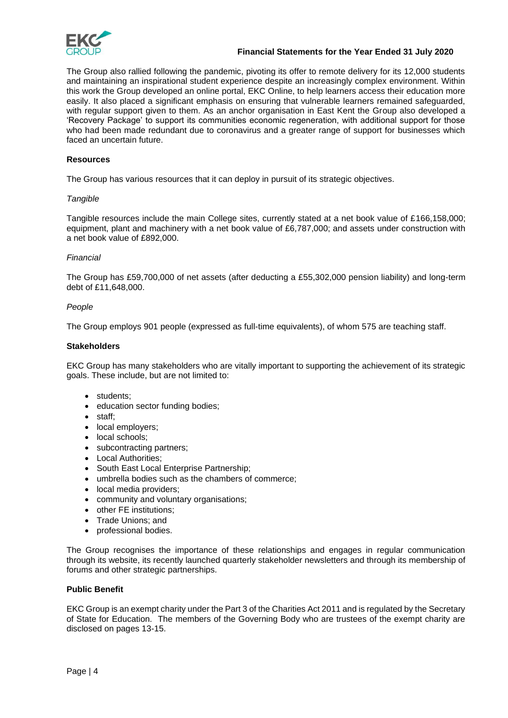

### **Financial Statements for the Year Ended 31 July 2020**

The Group also rallied following the pandemic, pivoting its offer to remote delivery for its 12,000 students and maintaining an inspirational student experience despite an increasingly complex environment. Within this work the Group developed an online portal, EKC Online, to help learners access their education more easily. It also placed a significant emphasis on ensuring that vulnerable learners remained safeguarded, with regular support given to them. As an anchor organisation in East Kent the Group also developed a 'Recovery Package' to support its communities economic regeneration, with additional support for those who had been made redundant due to coronavirus and a greater range of support for businesses which faced an uncertain future.

### **Resources**

The Group has various resources that it can deploy in pursuit of its strategic objectives.

### *Tangible*

Tangible resources include the main College sites, currently stated at a net book value of £166,158,000; equipment, plant and machinery with a net book value of £6,787,000; and assets under construction with a net book value of £892,000.

### *Financial*

The Group has £59,700,000 of net assets (after deducting a £55,302,000 pension liability) and long-term debt of £11,648,000.

### *People*

The Group employs 901 people (expressed as full-time equivalents), of whom 575 are teaching staff.

### **Stakeholders**

EKC Group has many stakeholders who are vitally important to supporting the achievement of its strategic goals. These include, but are not limited to:

- students;
- education sector funding bodies;
- staff;
- local employers;
- local schools;
- subcontracting partners;
- **Local Authorities:**
- South East Local Enterprise Partnership;
- umbrella bodies such as the chambers of commerce;
- local media providers;
- community and voluntary organisations;
- other FE institutions:
- Trade Unions; and
- professional bodies.

The Group recognises the importance of these relationships and engages in regular communication through its website, its recently launched quarterly stakeholder newsletters and through its membership of forums and other strategic partnerships.

### **Public Benefit**

EKC Group is an exempt charity under the Part 3 of the Charities Act 2011 and is regulated by the Secretary of State for Education. The members of the Governing Body who are trustees of the exempt charity are disclosed on pages 13-15.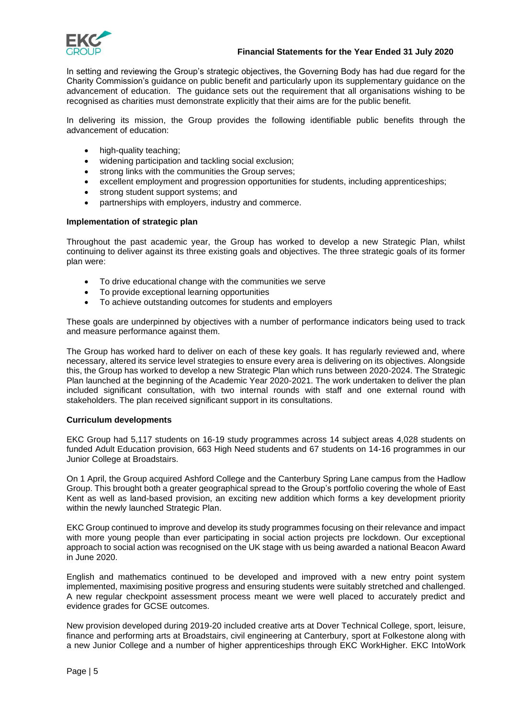

### **Financial Statements for the Year Ended 31 July 2020**

In setting and reviewing the Group's strategic objectives, the Governing Body has had due regard for the Charity Commission's guidance on public benefit and particularly upon its supplementary guidance on the advancement of education. The guidance sets out the requirement that all organisations wishing to be recognised as charities must demonstrate explicitly that their aims are for the public benefit.

In delivering its mission, the Group provides the following identifiable public benefits through the advancement of education:

- high-quality teaching;
- widening participation and tackling social exclusion;
- strong links with the communities the Group serves;
- excellent employment and progression opportunities for students, including apprenticeships;
- strong student support systems; and
- partnerships with employers, industry and commerce.

### **Implementation of strategic plan**

Throughout the past academic year, the Group has worked to develop a new Strategic Plan, whilst continuing to deliver against its three existing goals and objectives. The three strategic goals of its former plan were:

- To drive educational change with the communities we serve
- To provide exceptional learning opportunities
- To achieve outstanding outcomes for students and employers

These goals are underpinned by objectives with a number of performance indicators being used to track and measure performance against them.

The Group has worked hard to deliver on each of these key goals. It has regularly reviewed and, where necessary, altered its service level strategies to ensure every area is delivering on its objectives. Alongside this, the Group has worked to develop a new Strategic Plan which runs between 2020-2024. The Strategic Plan launched at the beginning of the Academic Year 2020-2021. The work undertaken to deliver the plan included significant consultation, with two internal rounds with staff and one external round with stakeholders. The plan received significant support in its consultations.

### **Curriculum developments**

EKC Group had 5,117 students on 16-19 study programmes across 14 subject areas 4,028 students on funded Adult Education provision, 663 High Need students and 67 students on 14-16 programmes in our Junior College at Broadstairs.

On 1 April, the Group acquired Ashford College and the Canterbury Spring Lane campus from the Hadlow Group. This brought both a greater geographical spread to the Group's portfolio covering the whole of East Kent as well as land-based provision, an exciting new addition which forms a key development priority within the newly launched Strategic Plan.

EKC Group continued to improve and develop its study programmes focusing on their relevance and impact with more young people than ever participating in social action projects pre lockdown. Our exceptional approach to social action was recognised on the UK stage with us being awarded a national Beacon Award in June 2020.

English and mathematics continued to be developed and improved with a new entry point system implemented, maximising positive progress and ensuring students were suitably stretched and challenged. A new regular checkpoint assessment process meant we were well placed to accurately predict and evidence grades for GCSE outcomes.

New provision developed during 2019-20 included creative arts at Dover Technical College, sport, leisure, finance and performing arts at Broadstairs, civil engineering at Canterbury, sport at Folkestone along with a new Junior College and a number of higher apprenticeships through EKC WorkHigher. EKC IntoWork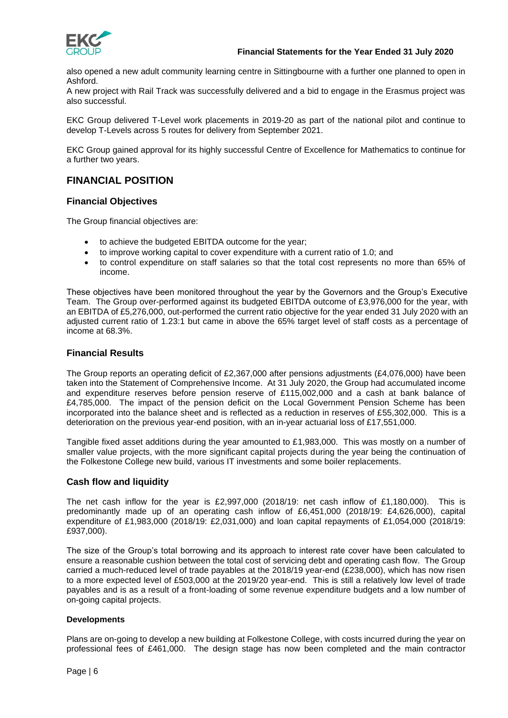

also opened a new adult community learning centre in Sittingbourne with a further one planned to open in Ashford.

A new project with Rail Track was successfully delivered and a bid to engage in the Erasmus project was also successful.

EKC Group delivered T-Level work placements in 2019-20 as part of the national pilot and continue to develop T-Levels across 5 routes for delivery from September 2021.

EKC Group gained approval for its highly successful Centre of Excellence for Mathematics to continue for a further two years.

## **FINANCIAL POSITION**

### **Financial Objectives**

The Group financial objectives are:

- to achieve the budgeted EBITDA outcome for the year;
- to improve working capital to cover expenditure with a current ratio of 1.0; and
- to control expenditure on staff salaries so that the total cost represents no more than 65% of income.

These objectives have been monitored throughout the year by the Governors and the Group's Executive Team. The Group over-performed against its budgeted EBITDA outcome of £3,976,000 for the year, with an EBITDA of £5,276,000, out-performed the current ratio objective for the year ended 31 July 2020 with an adjusted current ratio of 1.23:1 but came in above the 65% target level of staff costs as a percentage of income at 68.3%.

### **Financial Results**

The Group reports an operating deficit of £2,367,000 after pensions adjustments (£4,076,000) have been taken into the Statement of Comprehensive Income. At 31 July 2020, the Group had accumulated income and expenditure reserves before pension reserve of £115,002,000 and a cash at bank balance of £4,785,000. The impact of the pension deficit on the Local Government Pension Scheme has been incorporated into the balance sheet and is reflected as a reduction in reserves of £55,302,000. This is a deterioration on the previous year-end position, with an in-year actuarial loss of £17,551,000.

Tangible fixed asset additions during the year amounted to £1,983,000. This was mostly on a number of smaller value projects, with the more significant capital projects during the year being the continuation of the Folkestone College new build, various IT investments and some boiler replacements.

### **Cash flow and liquidity**

The net cash inflow for the year is  $£2,997,000$  (2018/19: net cash inflow of £1,180,000). This is predominantly made up of an operating cash inflow of £6,451,000 (2018/19: £4,626,000), capital expenditure of £1,983,000 (2018/19: £2,031,000) and loan capital repayments of £1,054,000 (2018/19: £937,000).

The size of the Group's total borrowing and its approach to interest rate cover have been calculated to ensure a reasonable cushion between the total cost of servicing debt and operating cash flow. The Group carried a much-reduced level of trade payables at the 2018/19 year-end (£238,000), which has now risen to a more expected level of £503,000 at the 2019/20 year-end. This is still a relatively low level of trade payables and is as a result of a front-loading of some revenue expenditure budgets and a low number of on-going capital projects.

### **Developments**

Plans are on-going to develop a new building at Folkestone College, with costs incurred during the year on professional fees of £461,000. The design stage has now been completed and the main contractor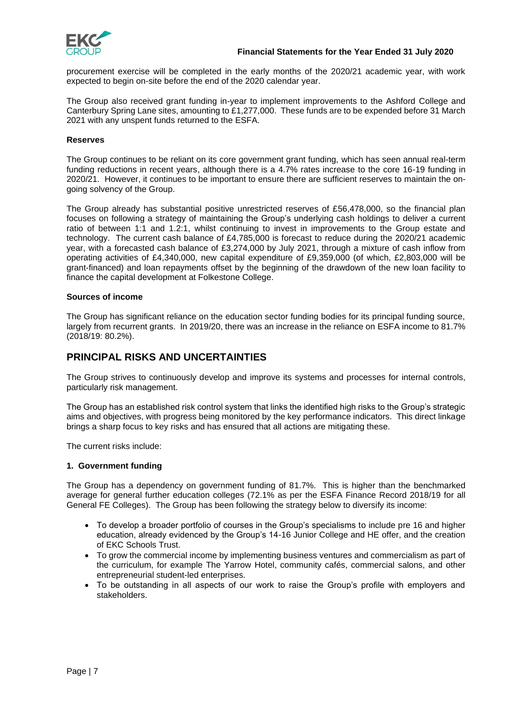

procurement exercise will be completed in the early months of the 2020/21 academic year, with work expected to begin on-site before the end of the 2020 calendar year.

The Group also received grant funding in-year to implement improvements to the Ashford College and Canterbury Spring Lane sites, amounting to £1,277,000. These funds are to be expended before 31 March 2021 with any unspent funds returned to the ESFA.

### **Reserves**

The Group continues to be reliant on its core government grant funding, which has seen annual real-term funding reductions in recent years, although there is a 4.7% rates increase to the core 16-19 funding in 2020/21. However, it continues to be important to ensure there are sufficient reserves to maintain the ongoing solvency of the Group.

The Group already has substantial positive unrestricted reserves of £56,478,000, so the financial plan focuses on following a strategy of maintaining the Group's underlying cash holdings to deliver a current ratio of between 1:1 and 1.2:1, whilst continuing to invest in improvements to the Group estate and technology. The current cash balance of £4,785,000 is forecast to reduce during the 2020/21 academic year, with a forecasted cash balance of £3,274,000 by July 2021, through a mixture of cash inflow from operating activities of £4,340,000, new capital expenditure of £9,359,000 (of which, £2,803,000 will be grant-financed) and loan repayments offset by the beginning of the drawdown of the new loan facility to finance the capital development at Folkestone College.

### **Sources of income**

The Group has significant reliance on the education sector funding bodies for its principal funding source, largely from recurrent grants. In 2019/20, there was an increase in the reliance on ESFA income to 81.7% (2018/19: 80.2%).

### **PRINCIPAL RISKS AND UNCERTAINTIES**

The Group strives to continuously develop and improve its systems and processes for internal controls, particularly risk management.

The Group has an established risk control system that links the identified high risks to the Group's strategic aims and objectives, with progress being monitored by the key performance indicators. This direct linkage brings a sharp focus to key risks and has ensured that all actions are mitigating these.

The current risks include:

### **1. Government funding**

The Group has a dependency on government funding of 81.7%. This is higher than the benchmarked average for general further education colleges (72.1% as per the ESFA Finance Record 2018/19 for all General FE Colleges). The Group has been following the strategy below to diversify its income:

- To develop a broader portfolio of courses in the Group's specialisms to include pre 16 and higher education, already evidenced by the Group's 14-16 Junior College and HE offer, and the creation of EKC Schools Trust.
- To grow the commercial income by implementing business ventures and commercialism as part of the curriculum, for example The Yarrow Hotel, community cafés, commercial salons, and other entrepreneurial student-led enterprises.
- To be outstanding in all aspects of our work to raise the Group's profile with employers and stakeholders.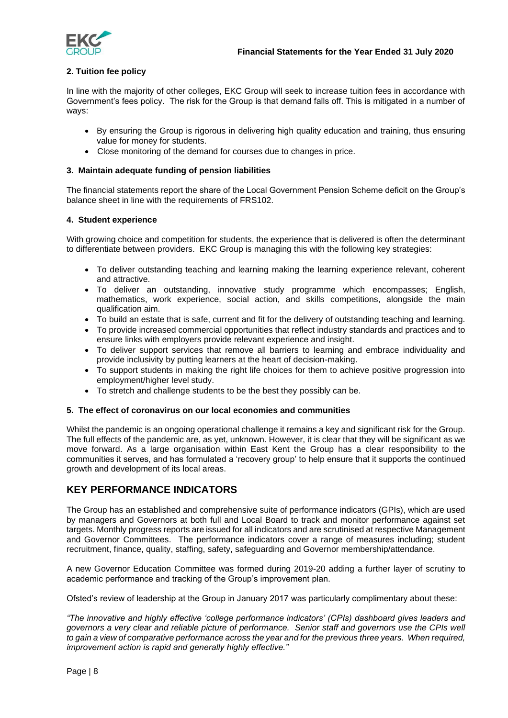

### **2. Tuition fee policy**

In line with the majority of other colleges, EKC Group will seek to increase tuition fees in accordance with Government's fees policy. The risk for the Group is that demand falls off. This is mitigated in a number of ways:

- By ensuring the Group is rigorous in delivering high quality education and training, thus ensuring value for money for students.
- Close monitoring of the demand for courses due to changes in price.

### **3. Maintain adequate funding of pension liabilities**

The financial statements report the share of the Local Government Pension Scheme deficit on the Group's balance sheet in line with the requirements of FRS102.

### **4. Student experience**

With growing choice and competition for students, the experience that is delivered is often the determinant to differentiate between providers. EKC Group is managing this with the following key strategies:

- To deliver outstanding teaching and learning making the learning experience relevant, coherent and attractive.
- To deliver an outstanding, innovative study programme which encompasses; English, mathematics, work experience, social action, and skills competitions, alongside the main qualification aim.
- To build an estate that is safe, current and fit for the delivery of outstanding teaching and learning.
- To provide increased commercial opportunities that reflect industry standards and practices and to ensure links with employers provide relevant experience and insight.
- To deliver support services that remove all barriers to learning and embrace individuality and provide inclusivity by putting learners at the heart of decision-making.
- To support students in making the right life choices for them to achieve positive progression into employment/higher level study.
- To stretch and challenge students to be the best they possibly can be.

### **5. The effect of coronavirus on our local economies and communities**

Whilst the pandemic is an ongoing operational challenge it remains a key and significant risk for the Group. The full effects of the pandemic are, as yet, unknown. However, it is clear that they will be significant as we move forward. As a large organisation within East Kent the Group has a clear responsibility to the communities it serves, and has formulated a 'recovery group' to help ensure that it supports the continued growth and development of its local areas.

### **KEY PERFORMANCE INDICATORS**

The Group has an established and comprehensive suite of performance indicators (GPIs), which are used by managers and Governors at both full and Local Board to track and monitor performance against set targets. Monthly progress reports are issued for all indicators and are scrutinised at respective Management and Governor Committees. The performance indicators cover a range of measures including; student recruitment, finance, quality, staffing, safety, safeguarding and Governor membership/attendance.

A new Governor Education Committee was formed during 2019-20 adding a further layer of scrutiny to academic performance and tracking of the Group's improvement plan.

Ofsted's review of leadership at the Group in January 2017 was particularly complimentary about these:

*"The innovative and highly effective 'college performance indicators' (CPIs) dashboard gives leaders and governors a very clear and reliable picture of performance. Senior staff and governors use the CPIs well to gain a view of comparative performance across the year and for the previous three years. When required, improvement action is rapid and generally highly effective."*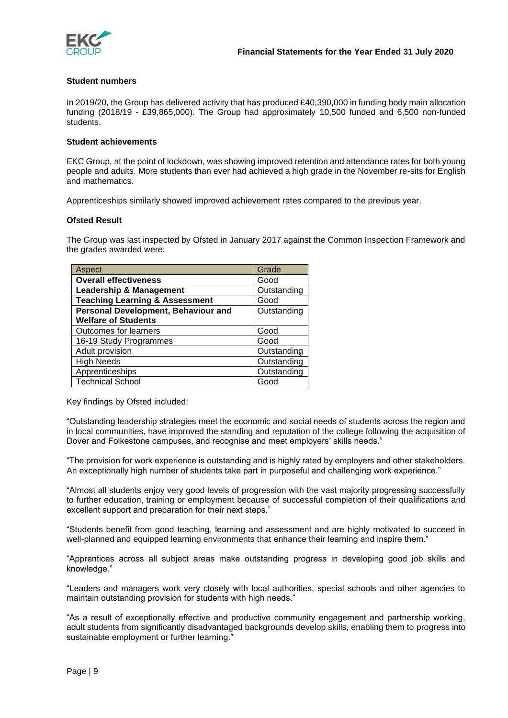

### **Student numbers**

In 2019/20, the Group has delivered activity that has produced £40,390,000 in funding body main allocation funding (2018/19 - £39,865,000). The Group had approximately 10,500 funded and 6,500 non-funded students.

### **Student achievements**

EKC Group, at the point of lockdown, was showing improved retention and attendance rates for both young people and adults. More students than ever had achieved a high grade in the November re-sits for English and mathematics.

Apprenticeships similarly showed improved achievement rates compared to the previous year.

### **Ofsted Result**

The Group was last inspected by Ofsted in January 2017 against the Common Inspection Framework and the grades awarded were:

| Aspect                                    | Grade       |
|-------------------------------------------|-------------|
| <b>Overall effectiveness</b>              | Good        |
| <b>Leadership &amp; Management</b>        | Outstanding |
| <b>Teaching Learning &amp; Assessment</b> | Good        |
| Personal Development, Behaviour and       | Outstanding |
| <b>Welfare of Students</b>                |             |
| Outcomes for learners                     | Good        |
| 16-19 Study Programmes                    | Good        |
| Adult provision                           | Outstanding |
| <b>High Needs</b>                         | Outstanding |
| Apprenticeships                           | Outstanding |
| <b>Technical School</b>                   | Good        |

Key findings by Ofsted included:

"Outstanding leadership strategies meet the economic and social needs of students across the region and in local communities, have improved the standing and reputation of the college following the acquisition of Dover and Folkestone campuses, and recognise and meet employers' skills needs."

"The provision for work experience is outstanding and is highly rated by employers and other stakeholders. An exceptionally high number of students take part in purposeful and challenging work experience."

"Almost all students enjoy very good levels of progression with the vast majority progressing successfully to further education, training or employment because of successful completion of their qualifications and excellent support and preparation for their next steps."

"Students benefit from good teaching, learning and assessment and are highly motivated to succeed in well-planned and equipped learning environments that enhance their learning and inspire them."

"Apprentices across all subject areas make outstanding progress in developing good job skills and knowledge."

"Leaders and managers work very closely with local authorities, special schools and other agencies to maintain outstanding provision for students with high needs."

"As a result of exceptionally effective and productive community engagement and partnership working, adult students from significantly disadvantaged backgrounds develop skills, enabling them to progress into sustainable employment or further learning."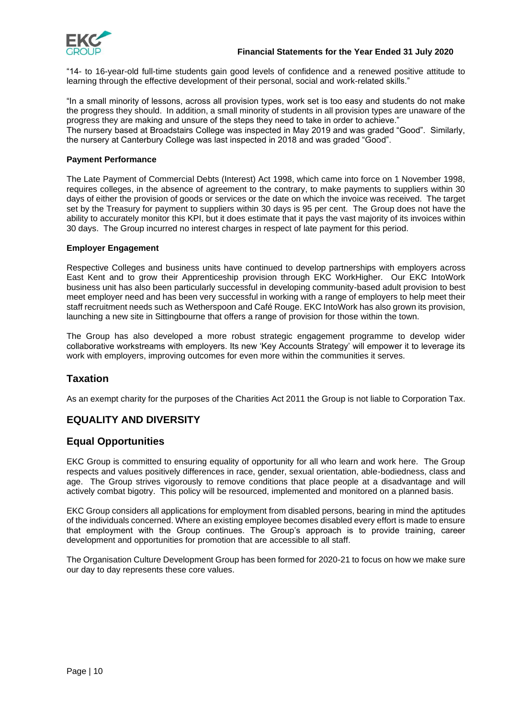

"14- to 16-year-old full-time students gain good levels of confidence and a renewed positive attitude to learning through the effective development of their personal, social and work-related skills."

"In a small minority of lessons, across all provision types, work set is too easy and students do not make the progress they should. In addition, a small minority of students in all provision types are unaware of the progress they are making and unsure of the steps they need to take in order to achieve." The nursery based at Broadstairs College was inspected in May 2019 and was graded "Good". Similarly,

the nursery at Canterbury College was last inspected in 2018 and was graded "Good".

### **Payment Performance**

The Late Payment of Commercial Debts (Interest) Act 1998, which came into force on 1 November 1998, requires colleges, in the absence of agreement to the contrary, to make payments to suppliers within 30 days of either the provision of goods or services or the date on which the invoice was received. The target set by the Treasury for payment to suppliers within 30 days is 95 per cent. The Group does not have the ability to accurately monitor this KPI, but it does estimate that it pays the vast majority of its invoices within 30 days. The Group incurred no interest charges in respect of late payment for this period.

### **Employer Engagement**

Respective Colleges and business units have continued to develop partnerships with employers across East Kent and to grow their Apprenticeship provision through EKC WorkHigher. Our EKC IntoWork business unit has also been particularly successful in developing community-based adult provision to best meet employer need and has been very successful in working with a range of employers to help meet their staff recruitment needs such as Wetherspoon and Café Rouge. EKC IntoWork has also grown its provision, launching a new site in Sittingbourne that offers a range of provision for those within the town.

The Group has also developed a more robust strategic engagement programme to develop wider collaborative workstreams with employers. Its new 'Key Accounts Strategy' will empower it to leverage its work with employers, improving outcomes for even more within the communities it serves.

### **Taxation**

As an exempt charity for the purposes of the Charities Act 2011 the Group is not liable to Corporation Tax.

## **EQUALITY AND DIVERSITY**

### **Equal Opportunities**

EKC Group is committed to ensuring equality of opportunity for all who learn and work here. The Group respects and values positively differences in race, gender, sexual orientation, able-bodiedness, class and age. The Group strives vigorously to remove conditions that place people at a disadvantage and will actively combat bigotry. This policy will be resourced, implemented and monitored on a planned basis.

EKC Group considers all applications for employment from disabled persons, bearing in mind the aptitudes of the individuals concerned. Where an existing employee becomes disabled every effort is made to ensure that employment with the Group continues. The Group's approach is to provide training, career development and opportunities for promotion that are accessible to all staff.

The Organisation Culture Development Group has been formed for 2020-21 to focus on how we make sure our day to day represents these core values.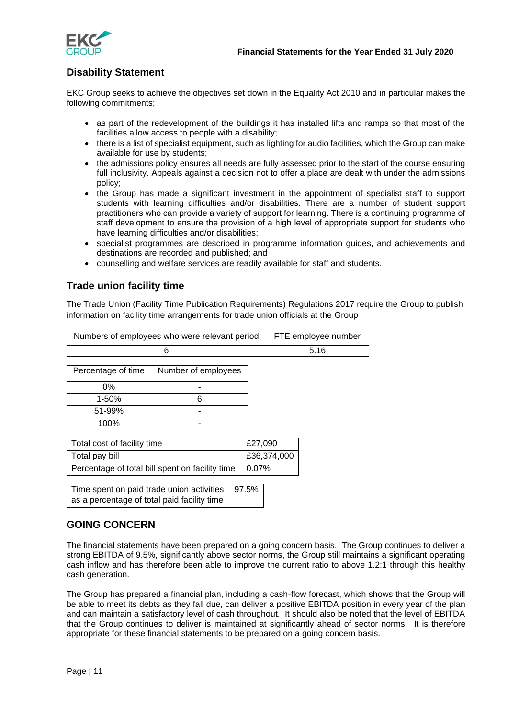

## **Disability Statement**

EKC Group seeks to achieve the objectives set down in the Equality Act 2010 and in particular makes the following commitments;

- as part of the redevelopment of the buildings it has installed lifts and ramps so that most of the facilities allow access to people with a disability;
- there is a list of specialist equipment, such as lighting for audio facilities, which the Group can make available for use by students;
- the admissions policy ensures all needs are fully assessed prior to the start of the course ensuring full inclusivity. Appeals against a decision not to offer a place are dealt with under the admissions policy;
- the Group has made a significant investment in the appointment of specialist staff to support students with learning difficulties and/or disabilities. There are a number of student support practitioners who can provide a variety of support for learning. There is a continuing programme of staff development to ensure the provision of a high level of appropriate support for students who have learning difficulties and/or disabilities;
- specialist programmes are described in programme information guides, and achievements and destinations are recorded and published; and
- counselling and welfare services are readily available for staff and students.

### **Trade union facility time**

The Trade Union (Facility Time Publication Requirements) Regulations 2017 require the Group to publish information on facility time arrangements for trade union officials at the Group

| Numbers of employees who were relevant period | FTE employee number |
|-----------------------------------------------|---------------------|
|                                               | 5.16                |

| Percentage of time | Number of employees |
|--------------------|---------------------|
| 0%                 |                     |
| $1 - 50%$          |                     |
| 51-99%             |                     |
| 100%               |                     |

| Total cost of facility time                     | £27,090     |
|-------------------------------------------------|-------------|
| Total pay bill                                  | £36,374,000 |
| Percentage of total bill spent on facility time | $0.07\%$    |

| Time spent on paid trade union activities   97.5% |  |
|---------------------------------------------------|--|
| as a percentage of total paid facility time       |  |

## **GOING CONCERN**

The financial statements have been prepared on a going concern basis. The Group continues to deliver a strong EBITDA of 9.5%, significantly above sector norms, the Group still maintains a significant operating cash inflow and has therefore been able to improve the current ratio to above 1.2:1 through this healthy cash generation.

The Group has prepared a financial plan, including a cash-flow forecast, which shows that the Group will be able to meet its debts as they fall due, can deliver a positive EBITDA position in every year of the plan and can maintain a satisfactory level of cash throughout. It should also be noted that the level of EBITDA that the Group continues to deliver is maintained at significantly ahead of sector norms. It is therefore appropriate for these financial statements to be prepared on a going concern basis.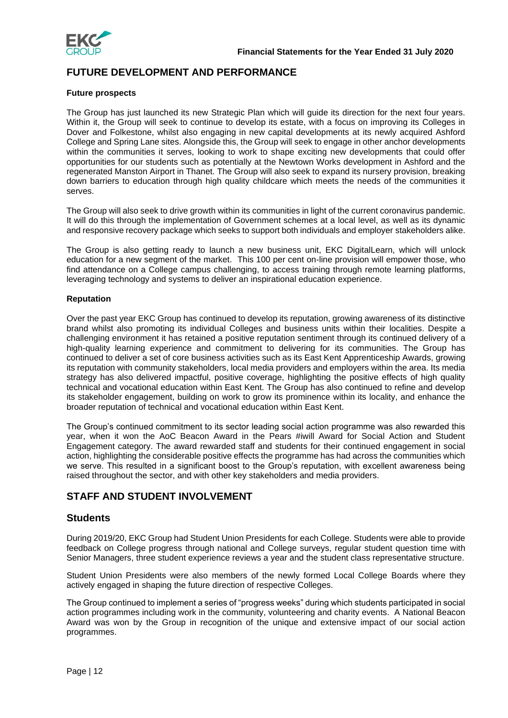

## **FUTURE DEVELOPMENT AND PERFORMANCE**

### **Future prospects**

The Group has just launched its new Strategic Plan which will guide its direction for the next four years. Within it, the Group will seek to continue to develop its estate, with a focus on improving its Colleges in Dover and Folkestone, whilst also engaging in new capital developments at its newly acquired Ashford College and Spring Lane sites. Alongside this, the Group will seek to engage in other anchor developments within the communities it serves, looking to work to shape exciting new developments that could offer opportunities for our students such as potentially at the Newtown Works development in Ashford and the regenerated Manston Airport in Thanet. The Group will also seek to expand its nursery provision, breaking down barriers to education through high quality childcare which meets the needs of the communities it serves.

The Group will also seek to drive growth within its communities in light of the current coronavirus pandemic. It will do this through the implementation of Government schemes at a local level, as well as its dynamic and responsive recovery package which seeks to support both individuals and employer stakeholders alike.

The Group is also getting ready to launch a new business unit, EKC DigitalLearn, which will unlock education for a new segment of the market. This 100 per cent on-line provision will empower those, who find attendance on a College campus challenging, to access training through remote learning platforms, leveraging technology and systems to deliver an inspirational education experience.

### **Reputation**

Over the past year EKC Group has continued to develop its reputation, growing awareness of its distinctive brand whilst also promoting its individual Colleges and business units within their localities. Despite a challenging environment it has retained a positive reputation sentiment through its continued delivery of a high-quality learning experience and commitment to delivering for its communities. The Group has continued to deliver a set of core business activities such as its East Kent Apprenticeship Awards, growing its reputation with community stakeholders, local media providers and employers within the area. Its media strategy has also delivered impactful, positive coverage, highlighting the positive effects of high quality technical and vocational education within East Kent. The Group has also continued to refine and develop its stakeholder engagement, building on work to grow its prominence within its locality, and enhance the broader reputation of technical and vocational education within East Kent.

The Group's continued commitment to its sector leading social action programme was also rewarded this year, when it won the AoC Beacon Award in the Pears #iwill Award for Social Action and Student Engagement category. The award rewarded staff and students for their continued engagement in social action, highlighting the considerable positive effects the programme has had across the communities which we serve. This resulted in a significant boost to the Group's reputation, with excellent awareness being raised throughout the sector, and with other key stakeholders and media providers.

## **STAFF AND STUDENT INVOLVEMENT**

### **Students**

During 2019/20, EKC Group had Student Union Presidents for each College. Students were able to provide feedback on College progress through national and College surveys, regular student question time with Senior Managers, three student experience reviews a year and the student class representative structure.

Student Union Presidents were also members of the newly formed Local College Boards where they actively engaged in shaping the future direction of respective Colleges.

The Group continued to implement a series of "progress weeks" during which students participated in social action programmes including work in the community, volunteering and charity events. A National Beacon Award was won by the Group in recognition of the unique and extensive impact of our social action programmes.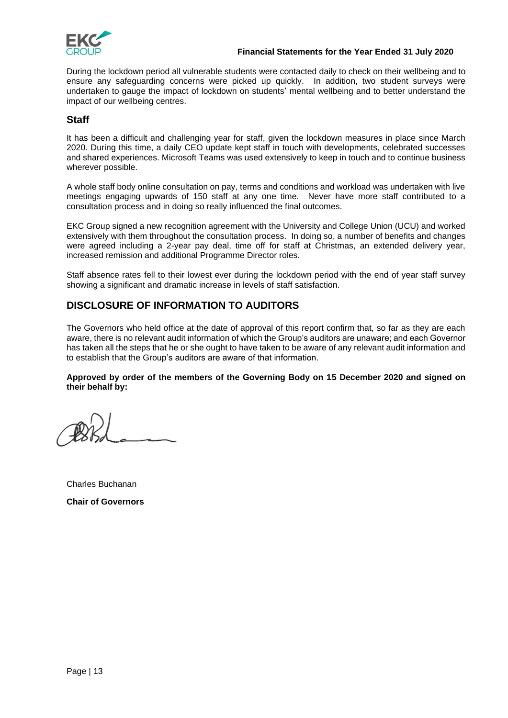

### **Financial Statements for the Year Ended 31 July 2020**

During the lockdown period all vulnerable students were contacted daily to check on their wellbeing and to ensure any safeguarding concerns were picked up quickly. In addition, two student surveys were undertaken to gauge the impact of lockdown on students' mental wellbeing and to better understand the impact of our wellbeing centres.

### **Staff**

It has been a difficult and challenging year for staff, given the lockdown measures in place since March 2020. During this time, a daily CEO update kept staff in touch with developments, celebrated successes and shared experiences. Microsoft Teams was used extensively to keep in touch and to continue business wherever possible.

A whole staff body online consultation on pay, terms and conditions and workload was undertaken with live meetings engaging upwards of 150 staff at any one time. Never have more staff contributed to a consultation process and in doing so really influenced the final outcomes.

EKC Group signed a new recognition agreement with the University and College Union (UCU) and worked extensively with them throughout the consultation process. In doing so, a number of benefits and changes were agreed including a 2-year pay deal, time off for staff at Christmas, an extended delivery year, increased remission and additional Programme Director roles.

Staff absence rates fell to their lowest ever during the lockdown period with the end of year staff survey showing a significant and dramatic increase in levels of staff satisfaction.

## **DISCLOSURE OF INFORMATION TO AUDITORS**

The Governors who held office at the date of approval of this report confirm that, so far as they are each aware, there is no relevant audit information of which the Group's auditors are unaware; and each Governor has taken all the steps that he or she ought to have taken to be aware of any relevant audit information and to establish that the Group's auditors are aware of that information.

### **Approved by order of the members of the Governing Body on 15 December 2020 and signed on their behalf by:**

Charles Buchanan

**Chair of Governors**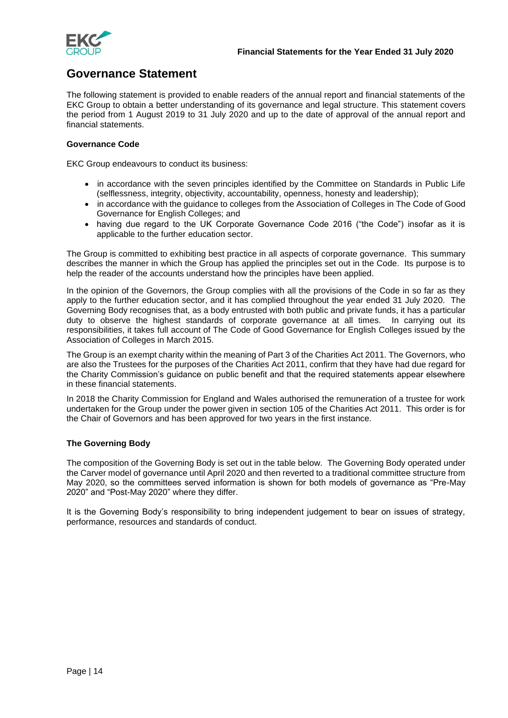

## **Governance Statement**

The following statement is provided to enable readers of the annual report and financial statements of the EKC Group to obtain a better understanding of its governance and legal structure. This statement covers the period from 1 August 2019 to 31 July 2020 and up to the date of approval of the annual report and financial statements.

### **Governance Code**

EKC Group endeavours to conduct its business:

- in accordance with the seven principles identified by the Committee on Standards in Public Life (selflessness, integrity, objectivity, accountability, openness, honesty and leadership);
- in accordance with the guidance to colleges from the Association of Colleges in The Code of Good Governance for English Colleges; and
- having due regard to the UK Corporate Governance Code 2016 ("the Code") insofar as it is applicable to the further education sector.

The Group is committed to exhibiting best practice in all aspects of corporate governance. This summary describes the manner in which the Group has applied the principles set out in the Code. Its purpose is to help the reader of the accounts understand how the principles have been applied.

In the opinion of the Governors, the Group complies with all the provisions of the Code in so far as they apply to the further education sector, and it has complied throughout the year ended 31 July 2020. The Governing Body recognises that, as a body entrusted with both public and private funds, it has a particular duty to observe the highest standards of corporate governance at all times. In carrying out its responsibilities, it takes full account of The Code of Good Governance for English Colleges issued by the Association of Colleges in March 2015.

The Group is an exempt charity within the meaning of Part 3 of the Charities Act 2011. The Governors, who are also the Trustees for the purposes of the Charities Act 2011, confirm that they have had due regard for the Charity Commission's guidance on public benefit and that the required statements appear elsewhere in these financial statements.

In 2018 the Charity Commission for England and Wales authorised the remuneration of a trustee for work undertaken for the Group under the power given in section 105 of the Charities Act 2011. This order is for the Chair of Governors and has been approved for two years in the first instance.

### **The Governing Body**

The composition of the Governing Body is set out in the table below. The Governing Body operated under the Carver model of governance until April 2020 and then reverted to a traditional committee structure from May 2020, so the committees served information is shown for both models of governance as "Pre-May 2020" and "Post-May 2020" where they differ.

It is the Governing Body's responsibility to bring independent judgement to bear on issues of strategy, performance, resources and standards of conduct.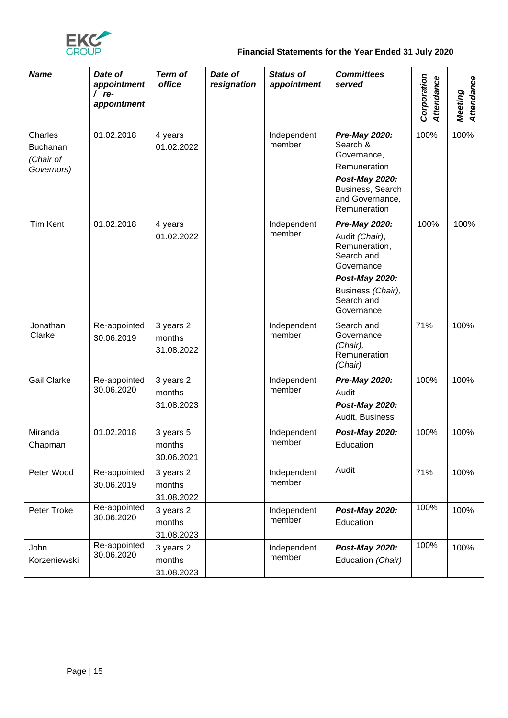

## **Financial Statements for the Year Ended 31 July 2020**

| <b>Name</b>                                    | Date of<br>appointment<br>$/$ re-<br>appointment | <b>Term of</b><br>office          | Date of<br>resignation | <b>Status of</b><br>appointment | <b>Committees</b><br>served                                                                                                                     | Corporation<br>Attendance | Attendance<br>Meeting |
|------------------------------------------------|--------------------------------------------------|-----------------------------------|------------------------|---------------------------------|-------------------------------------------------------------------------------------------------------------------------------------------------|---------------------------|-----------------------|
| Charles<br>Buchanan<br>(Chair of<br>Governors) | 01.02.2018                                       | 4 years<br>01.02.2022             |                        | Independent<br>member           | Pre-May 2020:<br>Search &<br>Governance,<br>Remuneration<br>Post-May 2020:<br>Business, Search<br>and Governance,<br>Remuneration               | 100%                      | 100%                  |
| <b>Tim Kent</b>                                | 01.02.2018                                       | 4 years<br>01.02.2022             |                        | Independent<br>member           | Pre-May 2020:<br>Audit (Chair),<br>Remuneration,<br>Search and<br>Governance<br>Post-May 2020:<br>Business (Chair),<br>Search and<br>Governance | 100%                      | 100%                  |
| Jonathan<br>Clarke                             | Re-appointed<br>30.06.2019                       | 3 years 2<br>months<br>31.08.2022 |                        | Independent<br>member           | Search and<br>Governance<br>(Chair),<br>Remuneration<br>(Chair)                                                                                 | 71%                       | 100%                  |
| <b>Gail Clarke</b>                             | Re-appointed<br>30.06.2020                       | 3 years 2<br>months<br>31.08.2023 |                        | Independent<br>member           | Pre-May 2020:<br>Audit<br>Post-May 2020:<br>Audit, Business                                                                                     | 100%                      | 100%                  |
| Miranda<br>Chapman                             | 01.02.2018                                       | 3 years 5<br>months<br>30.06.2021 |                        | Independent<br>member           | Post-May 2020:<br>Education                                                                                                                     | 100%                      | 100%                  |
| Peter Wood                                     | Re-appointed<br>30.06.2019                       | 3 years 2<br>months<br>31.08.2022 |                        | Independent<br>member           | Audit                                                                                                                                           | 71%                       | 100%                  |
| Peter Troke                                    | Re-appointed<br>30.06.2020                       | 3 years 2<br>months<br>31.08.2023 |                        | Independent<br>member           | Post-May 2020:<br>Education                                                                                                                     | 100%                      | 100%                  |
| John<br>Korzeniewski                           | Re-appointed<br>30.06.2020                       | 3 years 2<br>months<br>31.08.2023 |                        | Independent<br>member           | Post-May 2020:<br>Education (Chair)                                                                                                             | 100%                      | 100%                  |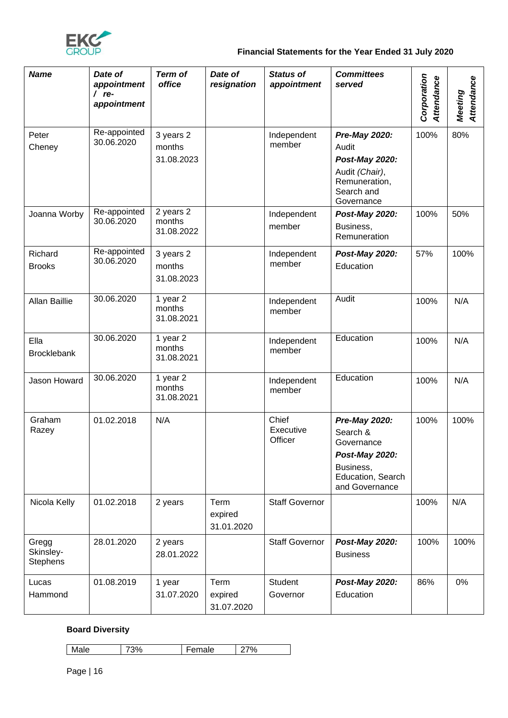

## **Financial Statements for the Year Ended 31 July 2020**

| <b>Name</b>                           | Date of<br>appointment<br>$/$ re-<br>appointment | <b>Term of</b><br>office          | Date of<br>resignation        | <b>Status of</b><br>appointment | <b>Committees</b><br>served                                                                                   | Corporation<br>Attendance | Attendance<br>Meeting |
|---------------------------------------|--------------------------------------------------|-----------------------------------|-------------------------------|---------------------------------|---------------------------------------------------------------------------------------------------------------|---------------------------|-----------------------|
| Peter<br>Cheney                       | Re-appointed<br>30.06.2020                       | 3 years 2<br>months<br>31.08.2023 |                               | Independent<br>member           | Pre-May 2020:<br>Audit<br>Post-May 2020:<br>Audit (Chair),<br>Remuneration,<br>Search and<br>Governance       | 100%                      | 80%                   |
| Joanna Worby                          | Re-appointed<br>30.06.2020                       | 2 years 2<br>months<br>31.08.2022 |                               | Independent<br>member           | Post-May 2020:<br>Business,<br>Remuneration                                                                   | 100%                      | 50%                   |
| Richard<br><b>Brooks</b>              | Re-appointed<br>30.06.2020                       | 3 years 2<br>months<br>31.08.2023 |                               | Independent<br>member           | Post-May 2020:<br>Education                                                                                   | 57%                       | 100%                  |
| <b>Allan Baillie</b>                  | 30.06.2020                                       | 1 year 2<br>months<br>31.08.2021  |                               | Independent<br>member           | Audit                                                                                                         | 100%                      | N/A                   |
| Ella<br><b>Brocklebank</b>            | 30.06.2020                                       | 1 year 2<br>months<br>31.08.2021  |                               | Independent<br>member           | Education                                                                                                     | 100%                      | N/A                   |
| Jason Howard                          | 30.06.2020                                       | 1 year 2<br>months<br>31.08.2021  |                               | Independent<br>member           | Education                                                                                                     | 100%                      | N/A                   |
| Graham<br>Razey                       | 01.02.2018                                       | N/A                               |                               | Chief<br>Executive<br>Officer   | Pre-May 2020:<br>Search &<br>Governance<br>Post-May 2020:<br>Business,<br>Education, Search<br>and Governance | 100%                      | 100%                  |
| Nicola Kelly                          | 01.02.2018                                       | 2 years                           | Term<br>expired<br>31.01.2020 | <b>Staff Governor</b>           |                                                                                                               | 100%                      | N/A                   |
| Gregg<br>Skinsley-<br><b>Stephens</b> | 28.01.2020                                       | 2 years<br>28.01.2022             |                               | <b>Staff Governor</b>           | Post-May 2020:<br><b>Business</b>                                                                             | 100%                      | 100%                  |
| Lucas<br>Hammond                      | 01.08.2019                                       | 1 year<br>31.07.2020              | Term<br>expired<br>31.07.2020 | Student<br>Governor             | Post-May 2020:<br>Education                                                                                   | 86%                       | 0%                    |

## **Board Diversity**

| $\circ$<br>. .<br>◡<br>7 U<br>$\tilde{ }$<br>. |  |
|------------------------------------------------|--|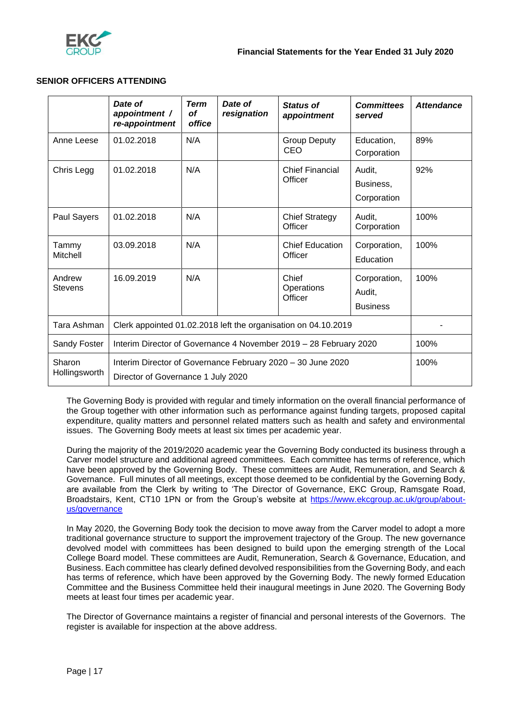

### **SENIOR OFFICERS ATTENDING**

|                                                                                                                              | Date of<br>appointment /<br>re-appointment                        | <b>Term</b><br>οf<br>office | Date of<br>resignation | <b>Status of</b><br>appointment   | <b>Committees</b><br>served               | <b>Attendance</b> |
|------------------------------------------------------------------------------------------------------------------------------|-------------------------------------------------------------------|-----------------------------|------------------------|-----------------------------------|-------------------------------------------|-------------------|
| Anne Leese                                                                                                                   | 01.02.2018                                                        | N/A                         |                        | <b>Group Deputy</b><br>CEO        | Education,<br>Corporation                 | 89%               |
| Chris Legg                                                                                                                   | 01.02.2018                                                        | N/A                         |                        | <b>Chief Financial</b><br>Officer | Audit,<br>Business,<br>Corporation        | 92%               |
| Paul Sayers                                                                                                                  | 01.02.2018                                                        | N/A                         |                        | <b>Chief Strategy</b><br>Officer  | Audit,<br>Corporation                     | 100%              |
| Tammy<br>Mitchell                                                                                                            | 03.09.2018                                                        | N/A                         |                        | <b>Chief Education</b><br>Officer | Corporation,<br>Education                 | 100%              |
| Andrew<br><b>Stevens</b>                                                                                                     | 16.09.2019                                                        | N/A                         |                        | Chief<br>Operations<br>Officer    | Corporation,<br>Audit,<br><b>Business</b> | 100%              |
| Tara Ashman                                                                                                                  | Clerk appointed 01.02.2018 left the organisation on 04.10.2019    |                             |                        |                                   |                                           |                   |
| Sandy Foster                                                                                                                 | Interim Director of Governance 4 November 2019 - 28 February 2020 |                             |                        |                                   |                                           | 100%              |
| Sharon<br>Interim Director of Governance February 2020 - 30 June 2020<br>Hollingsworth<br>Director of Governance 1 July 2020 |                                                                   |                             |                        |                                   | 100%                                      |                   |

The Governing Body is provided with regular and timely information on the overall financial performance of the Group together with other information such as performance against funding targets, proposed capital expenditure, quality matters and personnel related matters such as health and safety and environmental issues. The Governing Body meets at least six times per academic year.

During the majority of the 2019/2020 academic year the Governing Body conducted its business through a Carver model structure and additional agreed committees. Each committee has terms of reference, which have been approved by the Governing Body. These committees are Audit, Remuneration, and Search & Governance. Full minutes of all meetings, except those deemed to be confidential by the Governing Body, are available from the Clerk by writing to 'The Director of Governance, EKC Group, Ramsgate Road, Broadstairs, Kent, CT10 1PN or from the Group's website at [https://www.ekcgroup.ac.uk/group/about](https://www.ekcgroup.ac.uk/group/about-us/governance)[us/governance](https://www.ekcgroup.ac.uk/group/about-us/governance)

In May 2020, the Governing Body took the decision to move away from the Carver model to adopt a more traditional governance structure to support the improvement trajectory of the Group. The new governance devolved model with committees has been designed to build upon the emerging strength of the Local College Board model. These committees are Audit, Remuneration, Search & Governance, Education, and Business. Each committee has clearly defined devolved responsibilities from the Governing Body, and each has terms of reference, which have been approved by the Governing Body. The newly formed Education Committee and the Business Committee held their inaugural meetings in June 2020. The Governing Body meets at least four times per academic year.

The Director of Governance maintains a register of financial and personal interests of the Governors. The register is available for inspection at the above address.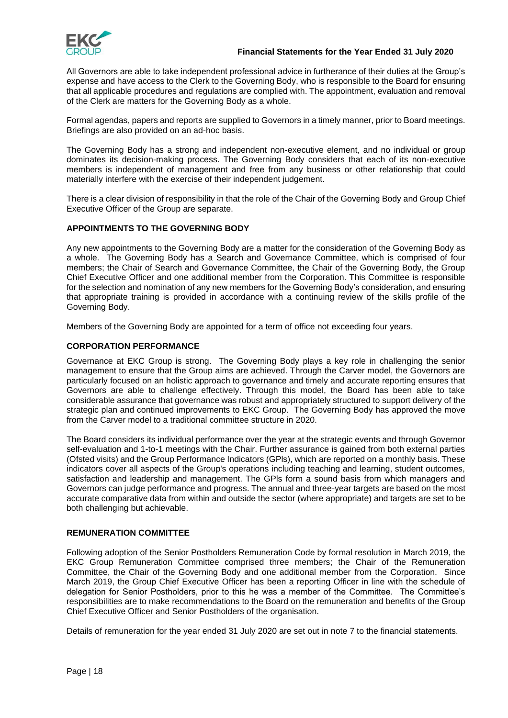

All Governors are able to take independent professional advice in furtherance of their duties at the Group's expense and have access to the Clerk to the Governing Body, who is responsible to the Board for ensuring that all applicable procedures and regulations are complied with. The appointment, evaluation and removal of the Clerk are matters for the Governing Body as a whole.

Formal agendas, papers and reports are supplied to Governors in a timely manner, prior to Board meetings. Briefings are also provided on an ad-hoc basis.

The Governing Body has a strong and independent non-executive element, and no individual or group dominates its decision-making process. The Governing Body considers that each of its non-executive members is independent of management and free from any business or other relationship that could materially interfere with the exercise of their independent judgement.

There is a clear division of responsibility in that the role of the Chair of the Governing Body and Group Chief Executive Officer of the Group are separate.

### **APPOINTMENTS TO THE GOVERNING BODY**

Any new appointments to the Governing Body are a matter for the consideration of the Governing Body as a whole. The Governing Body has a Search and Governance Committee, which is comprised of four members; the Chair of Search and Governance Committee, the Chair of the Governing Body, the Group Chief Executive Officer and one additional member from the Corporation. This Committee is responsible for the selection and nomination of any new members for the Governing Body's consideration, and ensuring that appropriate training is provided in accordance with a continuing review of the skills profile of the Governing Body.

Members of the Governing Body are appointed for a term of office not exceeding four years.

### **CORPORATION PERFORMANCE**

Governance at EKC Group is strong. The Governing Body plays a key role in challenging the senior management to ensure that the Group aims are achieved. Through the Carver model, the Governors are particularly focused on an holistic approach to governance and timely and accurate reporting ensures that Governors are able to challenge effectively. Through this model, the Board has been able to take considerable assurance that governance was robust and appropriately structured to support delivery of the strategic plan and continued improvements to EKC Group. The Governing Body has approved the move from the Carver model to a traditional committee structure in 2020.

The Board considers its individual performance over the year at the strategic events and through Governor self-evaluation and 1-to-1 meetings with the Chair. Further assurance is gained from both external parties (Ofsted visits) and the Group Performance Indicators (GPls), which are reported on a monthly basis. These indicators cover all aspects of the Group's operations including teaching and learning, student outcomes, satisfaction and leadership and management. The GPls form a sound basis from which managers and Governors can judge performance and progress. The annual and three-year targets are based on the most accurate comparative data from within and outside the sector (where appropriate) and targets are set to be both challenging but achievable.

### **REMUNERATION COMMITTEE**

Following adoption of the Senior Postholders Remuneration Code by formal resolution in March 2019, the EKC Group Remuneration Committee comprised three members; the Chair of the Remuneration Committee, the Chair of the Governing Body and one additional member from the Corporation. Since March 2019, the Group Chief Executive Officer has been a reporting Officer in line with the schedule of delegation for Senior Postholders, prior to this he was a member of the Committee. The Committee's responsibilities are to make recommendations to the Board on the remuneration and benefits of the Group Chief Executive Officer and Senior Postholders of the organisation.

Details of remuneration for the year ended 31 July 2020 are set out in note 7 to the financial statements.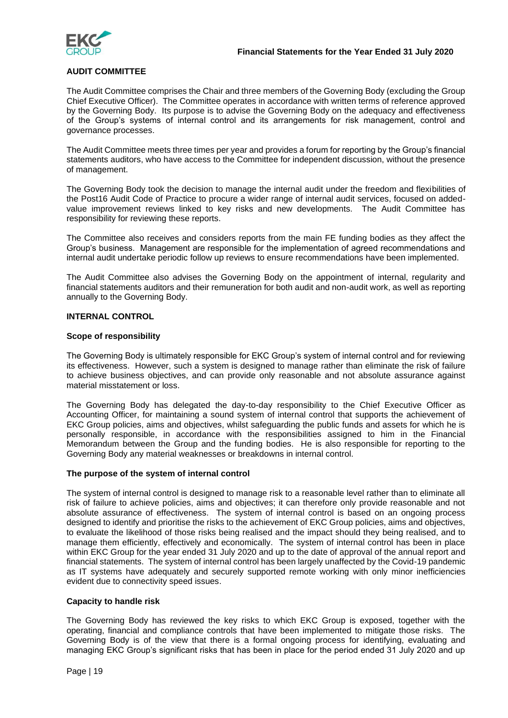

### **AUDIT COMMITTEE**

The Audit Committee comprises the Chair and three members of the Governing Body (excluding the Group Chief Executive Officer). The Committee operates in accordance with written terms of reference approved by the Governing Body. Its purpose is to advise the Governing Body on the adequacy and effectiveness of the Group's systems of internal control and its arrangements for risk management, control and governance processes.

The Audit Committee meets three times per year and provides a forum for reporting by the Group's financial statements auditors, who have access to the Committee for independent discussion, without the presence of management.

The Governing Body took the decision to manage the internal audit under the freedom and flexibilities of the Post16 Audit Code of Practice to procure a wider range of internal audit services, focused on addedvalue improvement reviews linked to key risks and new developments. The Audit Committee has responsibility for reviewing these reports.

The Committee also receives and considers reports from the main FE funding bodies as they affect the Group's business. Management are responsible for the implementation of agreed recommendations and internal audit undertake periodic follow up reviews to ensure recommendations have been implemented.

The Audit Committee also advises the Governing Body on the appointment of internal, regularity and financial statements auditors and their remuneration for both audit and non-audit work, as well as reporting annually to the Governing Body.

### **INTERNAL CONTROL**

### **Scope of responsibility**

The Governing Body is ultimately responsible for EKC Group's system of internal control and for reviewing its effectiveness. However, such a system is designed to manage rather than eliminate the risk of failure to achieve business objectives, and can provide only reasonable and not absolute assurance against material misstatement or loss.

The Governing Body has delegated the day-to-day responsibility to the Chief Executive Officer as Accounting Officer, for maintaining a sound system of internal control that supports the achievement of EKC Group policies, aims and objectives, whilst safeguarding the public funds and assets for which he is personally responsible, in accordance with the responsibilities assigned to him in the Financial Memorandum between the Group and the funding bodies. He is also responsible for reporting to the Governing Body any material weaknesses or breakdowns in internal control.

### **The purpose of the system of internal control**

The system of internal control is designed to manage risk to a reasonable level rather than to eliminate all risk of failure to achieve policies, aims and objectives; it can therefore only provide reasonable and not absolute assurance of effectiveness. The system of internal control is based on an ongoing process designed to identify and prioritise the risks to the achievement of EKC Group policies, aims and objectives, to evaluate the likelihood of those risks being realised and the impact should they being realised, and to manage them efficiently, effectively and economically. The system of internal control has been in place within EKC Group for the year ended 31 July 2020 and up to the date of approval of the annual report and financial statements. The system of internal control has been largely unaffected by the Covid-19 pandemic as IT systems have adequately and securely supported remote working with only minor inefficiencies evident due to connectivity speed issues.

### **Capacity to handle risk**

The Governing Body has reviewed the key risks to which EKC Group is exposed, together with the operating, financial and compliance controls that have been implemented to mitigate those risks. The Governing Body is of the view that there is a formal ongoing process for identifying, evaluating and managing EKC Group's significant risks that has been in place for the period ended 31 July 2020 and up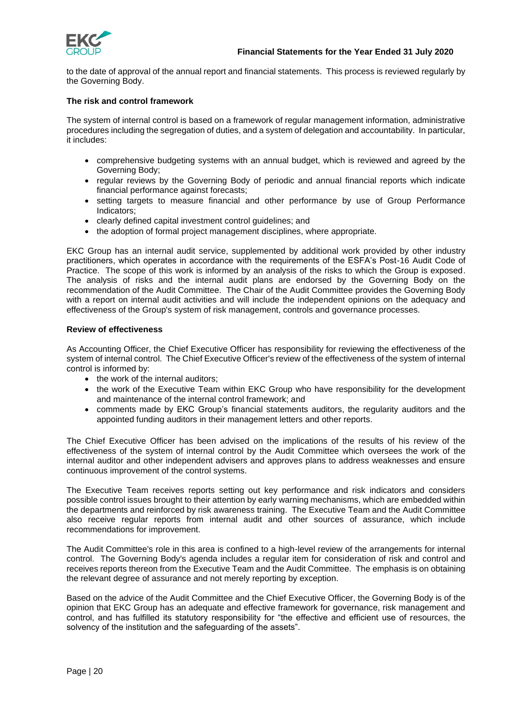

to the date of approval of the annual report and financial statements. This process is reviewed regularly by the Governing Body.

### **The risk and control framework**

The system of internal control is based on a framework of regular management information, administrative procedures including the segregation of duties, and a system of delegation and accountability. In particular, it includes:

- comprehensive budgeting systems with an annual budget, which is reviewed and agreed by the Governing Body;
- regular reviews by the Governing Body of periodic and annual financial reports which indicate financial performance against forecasts;
- setting targets to measure financial and other performance by use of Group Performance Indicators;
- clearly defined capital investment control guidelines; and
- the adoption of formal project management disciplines, where appropriate.

EKC Group has an internal audit service, supplemented by additional work provided by other industry practitioners, which operates in accordance with the requirements of the ESFA's Post-16 Audit Code of Practice. The scope of this work is informed by an analysis of the risks to which the Group is exposed. The analysis of risks and the internal audit plans are endorsed by the Governing Body on the recommendation of the Audit Committee. The Chair of the Audit Committee provides the Governing Body with a report on internal audit activities and will include the independent opinions on the adequacy and effectiveness of the Group's system of risk management, controls and governance processes.

### **Review of effectiveness**

As Accounting Officer, the Chief Executive Officer has responsibility for reviewing the effectiveness of the system of internal control. The Chief Executive Officer's review of the effectiveness of the system of internal control is informed by:

- the work of the internal auditors:
- the work of the Executive Team within EKC Group who have responsibility for the development and maintenance of the internal control framework; and
- comments made by EKC Group's financial statements auditors, the regularity auditors and the appointed funding auditors in their management letters and other reports.

The Chief Executive Officer has been advised on the implications of the results of his review of the effectiveness of the system of internal control by the Audit Committee which oversees the work of the internal auditor and other independent advisers and approves plans to address weaknesses and ensure continuous improvement of the control systems.

The Executive Team receives reports setting out key performance and risk indicators and considers possible control issues brought to their attention by early warning mechanisms, which are embedded within the departments and reinforced by risk awareness training. The Executive Team and the Audit Committee also receive regular reports from internal audit and other sources of assurance, which include recommendations for improvement.

The Audit Committee's role in this area is confined to a high-level review of the arrangements for internal control. The Governing Body's agenda includes a regular item for consideration of risk and control and receives reports thereon from the Executive Team and the Audit Committee. The emphasis is on obtaining the relevant degree of assurance and not merely reporting by exception.

Based on the advice of the Audit Committee and the Chief Executive Officer, the Governing Body is of the opinion that EKC Group has an adequate and effective framework for governance, risk management and control, and has fulfilled its statutory responsibility for "the effective and efficient use of resources, the solvency of the institution and the safeguarding of the assets".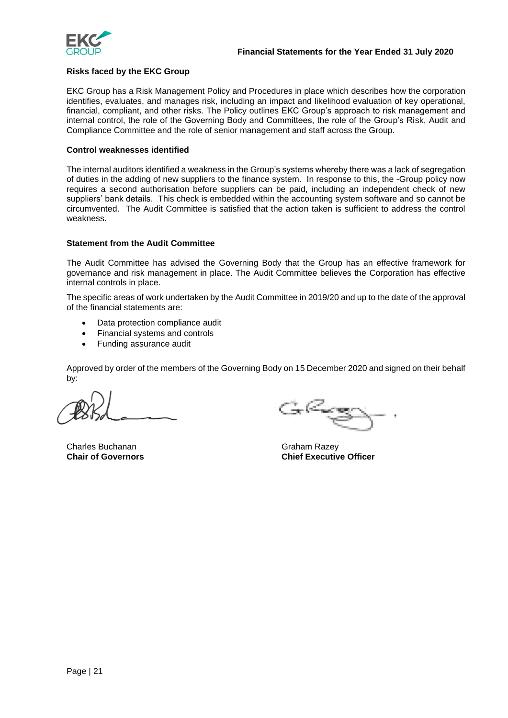

### **Risks faced by the EKC Group**

EKC Group has a Risk Management Policy and Procedures in place which describes how the corporation identifies, evaluates, and manages risk, including an impact and likelihood evaluation of key operational, financial, compliant, and other risks. The Policy outlines EKC Group's approach to risk management and internal control, the role of the Governing Body and Committees, the role of the Group's Risk, Audit and Compliance Committee and the role of senior management and staff across the Group.

### **Control weaknesses identified**

The internal auditors identified a weakness in the Group's systems whereby there was a lack of segregation of duties in the adding of new suppliers to the finance system. In response to this, the -Group policy now requires a second authorisation before suppliers can be paid, including an independent check of new suppliers' bank details. This check is embedded within the accounting system software and so cannot be circumvented. The Audit Committee is satisfied that the action taken is sufficient to address the control weakness.

### **Statement from the Audit Committee**

The Audit Committee has advised the Governing Body that the Group has an effective framework for governance and risk management in place. The Audit Committee believes the Corporation has effective internal controls in place.

The specific areas of work undertaken by the Audit Committee in 2019/20 and up to the date of the approval of the financial statements are:

- Data protection compliance audit
- Financial systems and controls
- Funding assurance audit

Approved by order of the members of the Governing Body on 15 December 2020 and signed on their behalf by:

Charles Buchanan Graham Razey

Car Cast

**Chair of Governors Chief Executive Officer**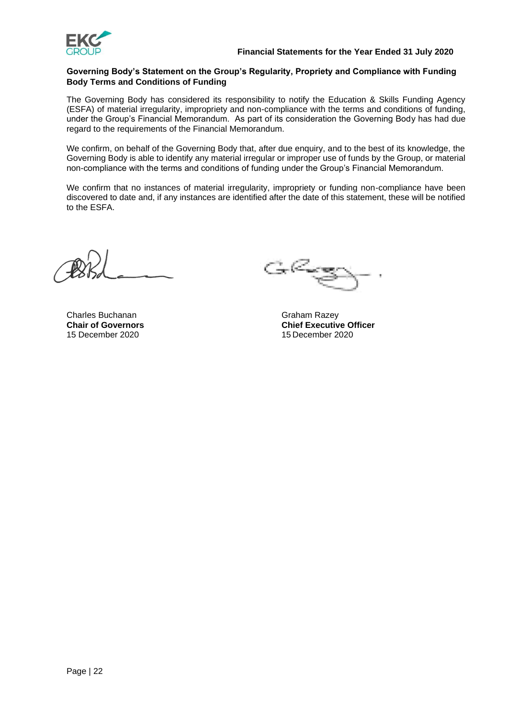

### **Governing Body's Statement on the Group's Regularity, Propriety and Compliance with Funding Body Terms and Conditions of Funding**

The Governing Body has considered its responsibility to notify the Education & Skills Funding Agency (ESFA) of material irregularity, impropriety and non-compliance with the terms and conditions of funding, under the Group's Financial Memorandum. As part of its consideration the Governing Body has had due regard to the requirements of the Financial Memorandum.

We confirm, on behalf of the Governing Body that, after due enquiry, and to the best of its knowledge, the Governing Body is able to identify any material irregular or improper use of funds by the Group, or material non-compliance with the terms and conditions of funding under the Group's Financial Memorandum.

We confirm that no instances of material irregularity, impropriety or funding non-compliance have been discovered to date and, if any instances are identified after the date of this statement, these will be notified to the ESFA.

Charles Buchanan Graham Razey 15 December 2020 15 December 2020

 $G_{\kappa}$ Cang

**Chair of Governors**<br>
15 December 2020<br>
15 December 2020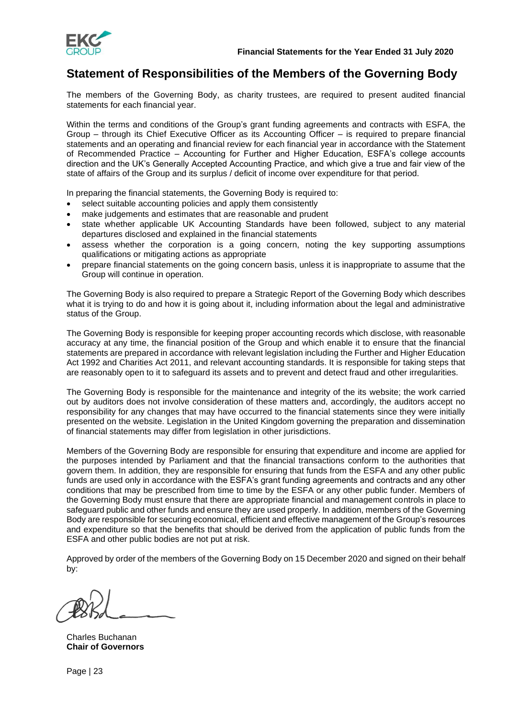

## **Statement of Responsibilities of the Members of the Governing Body**

The members of the Governing Body, as charity trustees, are required to present audited financial statements for each financial year.

Within the terms and conditions of the Group's grant funding agreements and contracts with ESFA, the Group – through its Chief Executive Officer as its Accounting Officer – is required to prepare financial statements and an operating and financial review for each financial year in accordance with the Statement of Recommended Practice – Accounting for Further and Higher Education, ESFA's college accounts direction and the UK's Generally Accepted Accounting Practice, and which give a true and fair view of the state of affairs of the Group and its surplus / deficit of income over expenditure for that period.

In preparing the financial statements, the Governing Body is required to:

- select suitable accounting policies and apply them consistently
- make judgements and estimates that are reasonable and prudent
- state whether applicable UK Accounting Standards have been followed, subject to any material departures disclosed and explained in the financial statements
- assess whether the corporation is a going concern, noting the key supporting assumptions qualifications or mitigating actions as appropriate
- prepare financial statements on the going concern basis, unless it is inappropriate to assume that the Group will continue in operation.

The Governing Body is also required to prepare a Strategic Report of the Governing Body which describes what it is trying to do and how it is going about it, including information about the legal and administrative status of the Group.

The Governing Body is responsible for keeping proper accounting records which disclose, with reasonable accuracy at any time, the financial position of the Group and which enable it to ensure that the financial statements are prepared in accordance with relevant legislation including the Further and Higher Education Act 1992 and Charities Act 2011, and relevant accounting standards. It is responsible for taking steps that are reasonably open to it to safeguard its assets and to prevent and detect fraud and other irregularities.

The Governing Body is responsible for the maintenance and integrity of the its website; the work carried out by auditors does not involve consideration of these matters and, accordingly, the auditors accept no responsibility for any changes that may have occurred to the financial statements since they were initially presented on the website. Legislation in the United Kingdom governing the preparation and dissemination of financial statements may differ from legislation in other jurisdictions.

Members of the Governing Body are responsible for ensuring that expenditure and income are applied for the purposes intended by Parliament and that the financial transactions conform to the authorities that govern them. In addition, they are responsible for ensuring that funds from the ESFA and any other public funds are used only in accordance with the ESFA's grant funding agreements and contracts and any other conditions that may be prescribed from time to time by the ESFA or any other public funder. Members of the Governing Body must ensure that there are appropriate financial and management controls in place to safeguard public and other funds and ensure they are used properly. In addition, members of the Governing Body are responsible for securing economical, efficient and effective management of the Group's resources and expenditure so that the benefits that should be derived from the application of public funds from the ESFA and other public bodies are not put at risk.

Approved by order of the members of the Governing Body on 15 December 2020 and signed on their behalf by:

Charles Buchanan **Chair of Governors**

Page | 23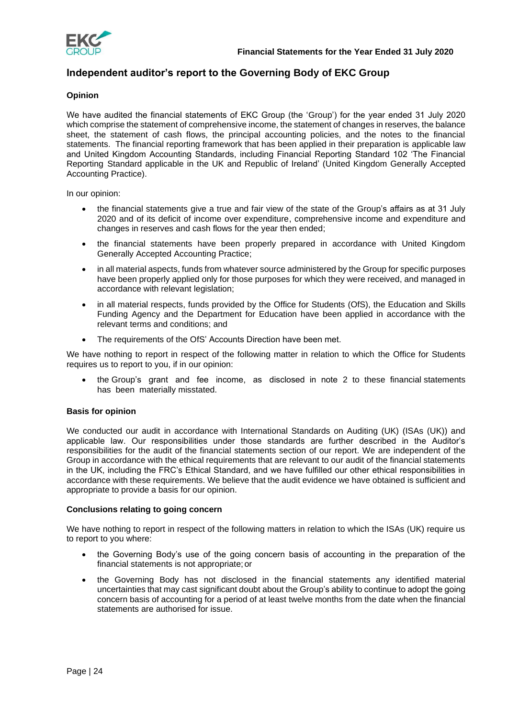

## **Independent auditor's report to the Governing Body of EKC Group**

### **Opinion**

We have audited the financial statements of EKC Group (the 'Group') for the year ended 31 July 2020 which comprise the statement of comprehensive income, the statement of changes in reserves, the balance sheet, the statement of cash flows, the principal accounting policies, and the notes to the financial statements. The financial reporting framework that has been applied in their preparation is applicable law and United Kingdom Accounting Standards, including Financial Reporting Standard 102 'The Financial Reporting Standard applicable in the UK and Republic of Ireland' (United Kingdom Generally Accepted Accounting Practice).

In our opinion:

- the financial statements give a true and fair view of the state of the Group's affairs as at 31 July 2020 and of its deficit of income over expenditure, comprehensive income and expenditure and changes in reserves and cash flows for the year then ended;
- the financial statements have been properly prepared in accordance with United Kingdom Generally Accepted Accounting Practice;
- in all material aspects, funds from whatever source administered by the Group for specific purposes have been properly applied only for those purposes for which they were received, and managed in accordance with relevant legislation;
- in all material respects, funds provided by the Office for Students (OfS), the Education and Skills Funding Agency and the Department for Education have been applied in accordance with the relevant terms and conditions; and
- The requirements of the OfS' Accounts Direction have been met.

We have nothing to report in respect of the following matter in relation to which the Office for Students requires us to report to you, if in our opinion:

• the Group's grant and fee income, as disclosed in note 2 to these financial statements has been materially misstated.

### **Basis for opinion**

We conducted our audit in accordance with International Standards on Auditing (UK) (ISAs (UK)) and applicable law. Our responsibilities under those standards are further described in the Auditor's responsibilities for the audit of the financial statements section of our report. We are independent of the Group in accordance with the ethical requirements that are relevant to our audit of the financial statements in the UK, including the FRC's Ethical Standard, and we have fulfilled our other ethical responsibilities in accordance with these requirements. We believe that the audit evidence we have obtained is sufficient and appropriate to provide a basis for our opinion.

### **Conclusions relating to going concern**

We have nothing to report in respect of the following matters in relation to which the ISAs (UK) require us to report to you where:

- the Governing Body's use of the going concern basis of accounting in the preparation of the financial statements is not appropriate; or
- the Governing Body has not disclosed in the financial statements any identified material uncertainties that may cast significant doubt about the Group's ability to continue to adopt the going concern basis of accounting for a period of at least twelve months from the date when the financial statements are authorised for issue.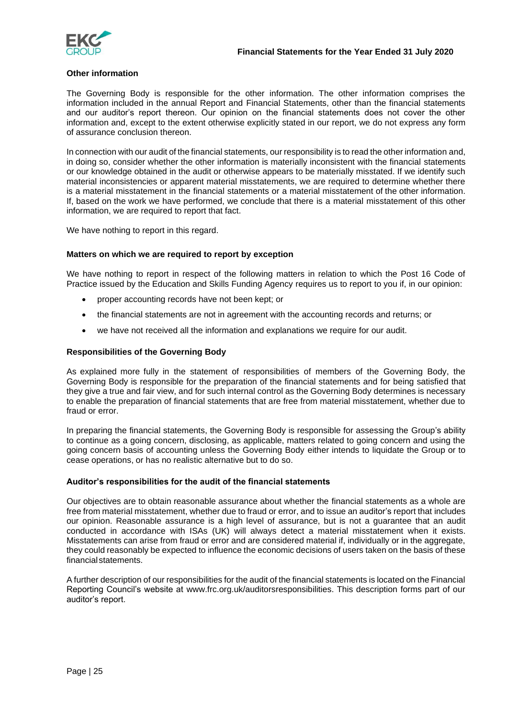

### **Other information**

The Governing Body is responsible for the other information. The other information comprises the information included in the annual Report and Financial Statements, other than the financial statements and our auditor's report thereon. Our opinion on the financial statements does not cover the other information and, except to the extent otherwise explicitly stated in our report, we do not express any form of assurance conclusion thereon.

In connection with our audit of the financial statements, our responsibility is to read the other information and, in doing so, consider whether the other information is materially inconsistent with the financial statements or our knowledge obtained in the audit or otherwise appears to be materially misstated. If we identify such material inconsistencies or apparent material misstatements, we are required to determine whether there is a material misstatement in the financial statements or a material misstatement of the other information. If, based on the work we have performed, we conclude that there is a material misstatement of this other information, we are required to report that fact.

We have nothing to report in this regard.

### **Matters on which we are required to report by exception**

We have nothing to report in respect of the following matters in relation to which the Post 16 Code of Practice issued by the Education and Skills Funding Agency requires us to report to you if, in our opinion:

- proper accounting records have not been kept; or
- the financial statements are not in agreement with the accounting records and returns; or
- we have not received all the information and explanations we require for our audit.

### **Responsibilities of the Governing Body**

As explained more fully in the statement of responsibilities of members of the Governing Body, the Governing Body is responsible for the preparation of the financial statements and for being satisfied that they give a true and fair view, and for such internal control as the Governing Body determines is necessary to enable the preparation of financial statements that are free from material misstatement, whether due to fraud or error.

In preparing the financial statements, the Governing Body is responsible for assessing the Group's ability to continue as a going concern, disclosing, as applicable, matters related to going concern and using the going concern basis of accounting unless the Governing Body either intends to liquidate the Group or to cease operations, or has no realistic alternative but to do so.

### **Auditor's responsibilities for the audit of the financial statements**

Our objectives are to obtain reasonable assurance about whether the financial statements as a whole are free from material misstatement, whether due to fraud or error, and to issue an auditor's report that includes our opinion. Reasonable assurance is a high level of assurance, but is not a guarantee that an audit conducted in accordance with ISAs (UK) will always detect a material misstatement when it exists. Misstatements can arise from fraud or error and are considered material if, individually or in the aggregate, they could reasonably be expected to influence the economic decisions of users taken on the basis of these financialstatements.

A further description of our responsibilities for the audit of the financial statements is located on the Financial Reporting Council's website at www.frc.org.uk/auditorsresponsibilities. This description forms part of our auditor's report.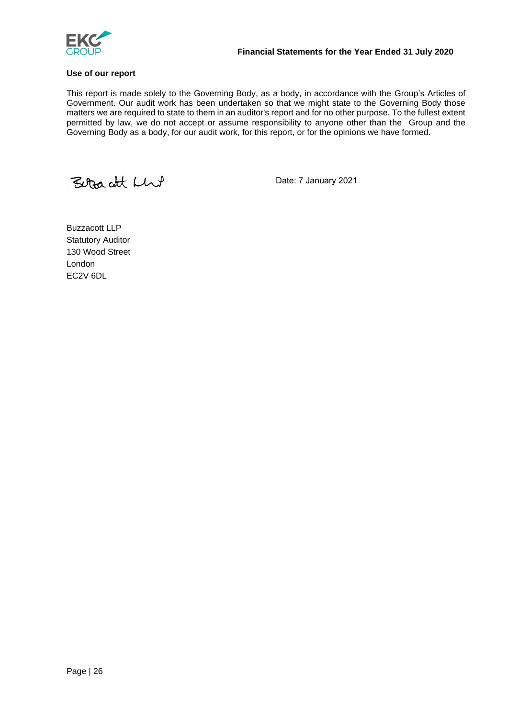

### **Use of our report**

This report is made solely to the Governing Body, as a body, in accordance with the Group's Articles of Government. Our audit work has been undertaken so that we might state to the Governing Body those matters we are required to state to them in an auditor's report and for no other purpose. To the fullest extent permitted by law, we do not accept or assume responsibility to anyone other than the Group and the Governing Body as a body, for our audit work, for this report, or for the opinions we have formed.

Betacht Lhut

Date: 7 January 2021

Buzzacott LLP Statutory Auditor 130 Wood Street London EC2V 6DL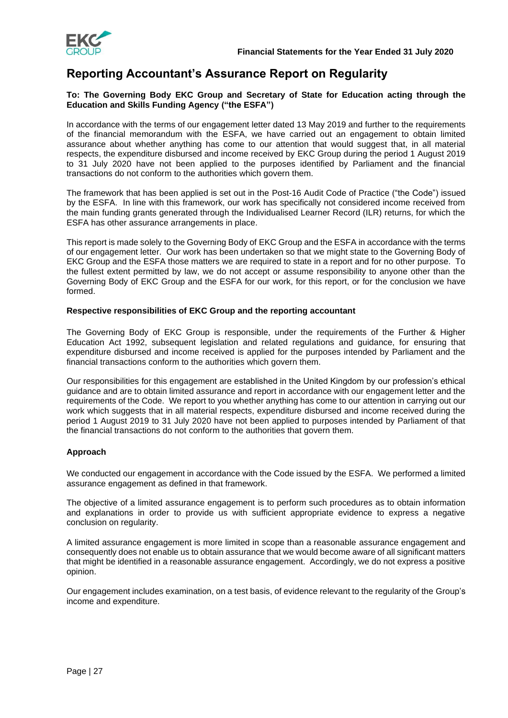

## **Reporting Accountant's Assurance Report on Regularity**

### **To: The Governing Body EKC Group and Secretary of State for Education acting through the Education and Skills Funding Agency ("the ESFA")**

In accordance with the terms of our engagement letter dated 13 May 2019 and further to the requirements of the financial memorandum with the ESFA, we have carried out an engagement to obtain limited assurance about whether anything has come to our attention that would suggest that, in all material respects, the expenditure disbursed and income received by EKC Group during the period 1 August 2019 to 31 July 2020 have not been applied to the purposes identified by Parliament and the financial transactions do not conform to the authorities which govern them.

The framework that has been applied is set out in the Post-16 Audit Code of Practice ("the Code") issued by the ESFA. In line with this framework, our work has specifically not considered income received from the main funding grants generated through the Individualised Learner Record (ILR) returns, for which the ESFA has other assurance arrangements in place.

This report is made solely to the Governing Body of EKC Group and the ESFA in accordance with the terms of our engagement letter. Our work has been undertaken so that we might state to the Governing Body of EKC Group and the ESFA those matters we are required to state in a report and for no other purpose. To the fullest extent permitted by law, we do not accept or assume responsibility to anyone other than the Governing Body of EKC Group and the ESFA for our work, for this report, or for the conclusion we have formed.

### **Respective responsibilities of EKC Group and the reporting accountant**

The Governing Body of EKC Group is responsible, under the requirements of the Further & Higher Education Act 1992, subsequent legislation and related regulations and guidance, for ensuring that expenditure disbursed and income received is applied for the purposes intended by Parliament and the financial transactions conform to the authorities which govern them.

Our responsibilities for this engagement are established in the United Kingdom by our profession's ethical guidance and are to obtain limited assurance and report in accordance with our engagement letter and the requirements of the Code. We report to you whether anything has come to our attention in carrying out our work which suggests that in all material respects, expenditure disbursed and income received during the period 1 August 2019 to 31 July 2020 have not been applied to purposes intended by Parliament of that the financial transactions do not conform to the authorities that govern them.

### **Approach**

We conducted our engagement in accordance with the Code issued by the ESFA. We performed a limited assurance engagement as defined in that framework.

The objective of a limited assurance engagement is to perform such procedures as to obtain information and explanations in order to provide us with sufficient appropriate evidence to express a negative conclusion on regularity.

A limited assurance engagement is more limited in scope than a reasonable assurance engagement and consequently does not enable us to obtain assurance that we would become aware of all significant matters that might be identified in a reasonable assurance engagement. Accordingly, we do not express a positive opinion.

Our engagement includes examination, on a test basis, of evidence relevant to the regularity of the Group's income and expenditure.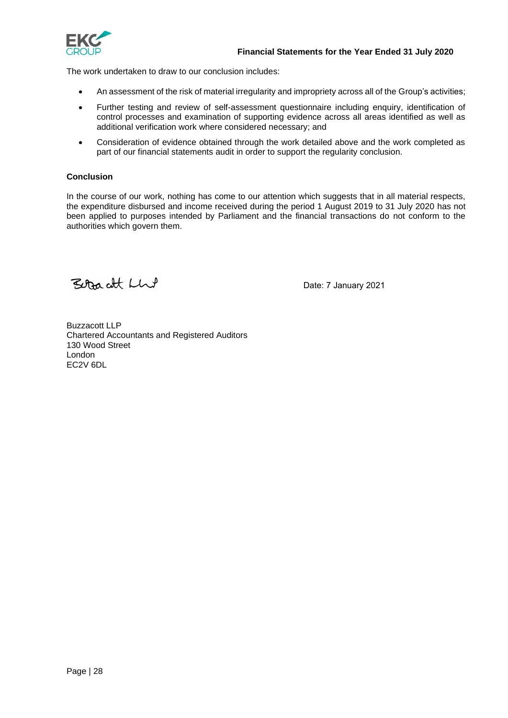

The work undertaken to draw to our conclusion includes:

- An assessment of the risk of material irregularity and impropriety across all of the Group's activities;
- Further testing and review of self-assessment questionnaire including enquiry, identification of control processes and examination of supporting evidence across all areas identified as well as additional verification work where considered necessary; and
- Consideration of evidence obtained through the work detailed above and the work completed as part of our financial statements audit in order to support the regularity conclusion.

### **Conclusion**

In the course of our work, nothing has come to our attention which suggests that in all material respects, the expenditure disbursed and income received during the period 1 August 2019 to 31 July 2020 has not been applied to purposes intended by Parliament and the financial transactions do not conform to the authorities which govern them.

Betracht Llut

Date: 7 January 2021

Buzzacott LLP Chartered Accountants and Registered Auditors 130 Wood Street London EC2V 6DL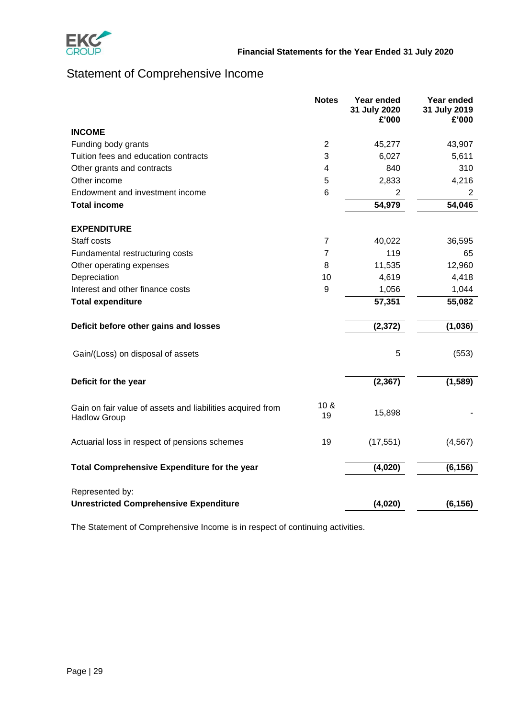

# Statement of Comprehensive Income

|                                                                                   | <b>Notes</b>            | Year ended<br>31 July 2020<br>£'000 | Year ended<br>31 July 2019<br>£'000 |
|-----------------------------------------------------------------------------------|-------------------------|-------------------------------------|-------------------------------------|
| <b>INCOME</b>                                                                     |                         |                                     |                                     |
| Funding body grants                                                               | $\overline{2}$          | 45,277                              | 43,907                              |
| Tuition fees and education contracts                                              | 3                       | 6,027                               | 5,611                               |
| Other grants and contracts                                                        | $\overline{\mathbf{4}}$ | 840                                 | 310                                 |
| Other income                                                                      | 5                       | 2,833                               | 4,216                               |
| Endowment and investment income                                                   | 6                       | 2                                   | 2                                   |
| <b>Total income</b>                                                               |                         | 54,979                              | 54,046                              |
| <b>EXPENDITURE</b>                                                                |                         |                                     |                                     |
| Staff costs                                                                       | $\overline{7}$          | 40,022                              | 36,595                              |
| Fundamental restructuring costs                                                   | $\overline{7}$          | 119                                 | 65                                  |
| Other operating expenses                                                          | 8                       | 11,535                              | 12,960                              |
| Depreciation                                                                      | 10                      | 4,619                               | 4,418                               |
| Interest and other finance costs                                                  | 9                       | 1,056                               | 1,044                               |
| <b>Total expenditure</b>                                                          |                         | 57,351                              | 55,082                              |
| Deficit before other gains and losses                                             |                         | (2, 372)                            | (1,036)                             |
| Gain/(Loss) on disposal of assets                                                 |                         | 5                                   | (553)                               |
| Deficit for the year                                                              |                         | (2, 367)                            | (1, 589)                            |
| Gain on fair value of assets and liabilities acquired from<br><b>Hadlow Group</b> | 10 <sub>8</sub><br>19   | 15,898                              |                                     |
| Actuarial loss in respect of pensions schemes                                     | 19                      | (17, 551)                           | (4, 567)                            |
| Total Comprehensive Expenditure for the year                                      |                         | (4,020)                             | (6, 156)                            |
| Represented by:<br><b>Unrestricted Comprehensive Expenditure</b>                  |                         | (4,020)                             | (6, 156)                            |

The Statement of Comprehensive Income is in respect of continuing activities.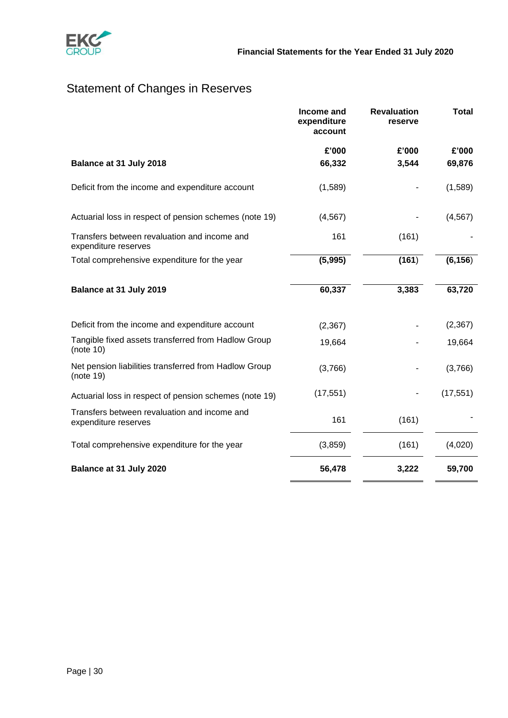

# Statement of Changes in Reserves

|                                                                      | Income and<br>expenditure<br>account | <b>Revaluation</b><br>reserve | <b>Total</b> |
|----------------------------------------------------------------------|--------------------------------------|-------------------------------|--------------|
|                                                                      | £'000                                | £'000                         | £'000        |
| Balance at 31 July 2018                                              | 66,332                               | 3,544                         | 69,876       |
| Deficit from the income and expenditure account                      | (1,589)                              |                               | (1,589)      |
| Actuarial loss in respect of pension schemes (note 19)               | (4, 567)                             |                               | (4, 567)     |
| Transfers between revaluation and income and<br>expenditure reserves | 161                                  | (161)                         |              |
| Total comprehensive expenditure for the year                         | (5,995)                              | (161)                         | (6, 156)     |
| Balance at 31 July 2019                                              | 60,337                               | 3,383                         | 63,720       |
| Deficit from the income and expenditure account                      | (2, 367)                             |                               | (2, 367)     |
| Tangible fixed assets transferred from Hadlow Group<br>(note $10$ )  | 19,664                               |                               | 19,664       |
| Net pension liabilities transferred from Hadlow Group<br>(note 19)   | (3,766)                              |                               | (3,766)      |
| Actuarial loss in respect of pension schemes (note 19)               | (17, 551)                            |                               | (17, 551)    |
| Transfers between revaluation and income and<br>expenditure reserves | 161                                  | (161)                         |              |
| Total comprehensive expenditure for the year                         | (3,859)                              | (161)                         | (4,020)      |
| Balance at 31 July 2020                                              | 56,478                               | 3,222                         | 59,700       |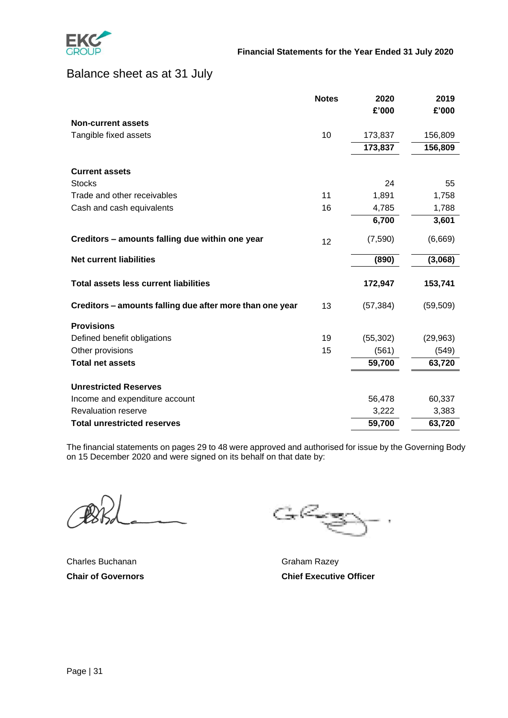

## Balance sheet as at 31 July

|                                                          | <b>Notes</b> | 2020      | 2019      |
|----------------------------------------------------------|--------------|-----------|-----------|
|                                                          |              | £'000     | £'000     |
| <b>Non-current assets</b>                                |              |           |           |
| Tangible fixed assets                                    | 10           | 173,837   | 156,809   |
|                                                          |              | 173,837   | 156,809   |
| <b>Current assets</b>                                    |              |           |           |
| <b>Stocks</b>                                            |              | 24        | 55        |
| Trade and other receivables                              | 11           | 1,891     | 1,758     |
| Cash and cash equivalents                                | 16           | 4,785     | 1,788     |
|                                                          |              | 6,700     | 3,601     |
| Creditors - amounts falling due within one year          | 12           | (7,590)   | (6,669)   |
| <b>Net current liabilities</b>                           |              | (890)     | (3,068)   |
| <b>Total assets less current liabilities</b>             |              | 172,947   | 153,741   |
| Creditors - amounts falling due after more than one year | 13           | (57, 384) | (59, 509) |
| <b>Provisions</b>                                        |              |           |           |
| Defined benefit obligations                              | 19           | (55, 302) | (29, 963) |
| Other provisions                                         | 15           | (561)     | (549)     |
| <b>Total net assets</b>                                  |              | 59,700    | 63,720    |
| <b>Unrestricted Reserves</b>                             |              |           |           |
| Income and expenditure account                           |              | 56,478    | 60,337    |
| Revaluation reserve                                      |              | 3,222     | 3,383     |
| <b>Total unrestricted reserves</b>                       |              | 59,700    | 63,720    |

The financial statements on pages 29 to 48 were approved and authorised for issue by the Governing Body on 15 December 2020 and were signed on its behalf on that date by:

Charles Buchanan Graham Razey

GRgg

**Chair of Governors Chief Executive Officer**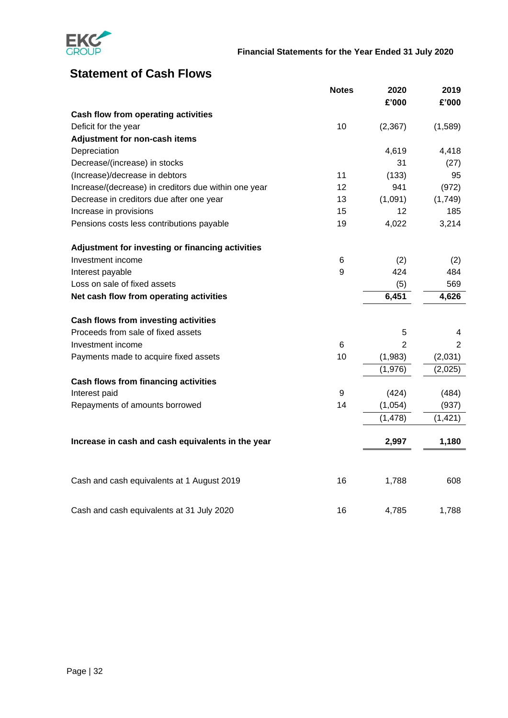

# **Statement of Cash Flows**

|                                                      | <b>Notes</b> | 2020           | 2019           |
|------------------------------------------------------|--------------|----------------|----------------|
|                                                      |              | £'000          | £'000          |
| Cash flow from operating activities                  |              |                |                |
| Deficit for the year                                 | 10           | (2, 367)       | (1,589)        |
| Adjustment for non-cash items                        |              |                |                |
| Depreciation                                         |              | 4,619          | 4,418          |
| Decrease/(increase) in stocks                        |              | 31             | (27)           |
| (Increase)/decrease in debtors                       | 11           | (133)          | 95             |
| Increase/(decrease) in creditors due within one year | 12           | 941            | (972)          |
| Decrease in creditors due after one year             | 13           | (1,091)        | (1,749)        |
| Increase in provisions                               | 15           | 12             | 185            |
| Pensions costs less contributions payable            | 19           | 4,022          | 3,214          |
| Adjustment for investing or financing activities     |              |                |                |
| Investment income                                    | 6            | (2)            | (2)            |
| Interest payable                                     | 9            | 424            | 484            |
| Loss on sale of fixed assets                         |              | (5)            | 569            |
| Net cash flow from operating activities              |              | 6,451          | 4,626          |
| Cash flows from investing activities                 |              |                |                |
| Proceeds from sale of fixed assets                   |              | 5              | 4              |
| Investment income                                    | 6            | $\overline{2}$ | $\overline{2}$ |
| Payments made to acquire fixed assets                | 10           | (1,983)        | (2,031)        |
|                                                      |              | (1,976)        | (2,025)        |
| <b>Cash flows from financing activities</b>          |              |                |                |
| Interest paid                                        | 9            | (424)          | (484)          |
| Repayments of amounts borrowed                       | 14           | (1,054)        | (937)          |
|                                                      |              | (1, 478)       | (1, 421)       |
| Increase in cash and cash equivalents in the year    |              | 2,997          | 1,180          |
| Cash and cash equivalents at 1 August 2019           | 16           | 1,788          | 608            |
|                                                      |              |                |                |
| Cash and cash equivalents at 31 July 2020            | 16           | 4,785          | 1,788          |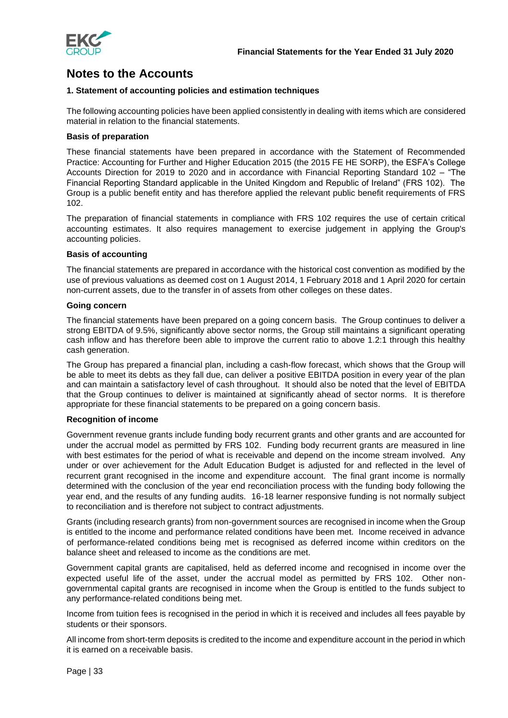

## **Notes to the Accounts**

### **1. Statement of accounting policies and estimation techniques**

The following accounting policies have been applied consistently in dealing with items which are considered material in relation to the financial statements.

### **Basis of preparation**

These financial statements have been prepared in accordance with the Statement of Recommended Practice: Accounting for Further and Higher Education 2015 (the 2015 FE HE SORP), the ESFA's College Accounts Direction for 2019 to 2020 and in accordance with Financial Reporting Standard 102 – "The Financial Reporting Standard applicable in the United Kingdom and Republic of Ireland" (FRS 102). The Group is a public benefit entity and has therefore applied the relevant public benefit requirements of FRS 102.

The preparation of financial statements in compliance with FRS 102 requires the use of certain critical accounting estimates. It also requires management to exercise judgement in applying the Group's accounting policies.

### **Basis of accounting**

The financial statements are prepared in accordance with the historical cost convention as modified by the use of previous valuations as deemed cost on 1 August 2014, 1 February 2018 and 1 April 2020 for certain non-current assets, due to the transfer in of assets from other colleges on these dates.

### **Going concern**

The financial statements have been prepared on a going concern basis. The Group continues to deliver a strong EBITDA of 9.5%, significantly above sector norms, the Group still maintains a significant operating cash inflow and has therefore been able to improve the current ratio to above 1.2:1 through this healthy cash generation.

The Group has prepared a financial plan, including a cash-flow forecast, which shows that the Group will be able to meet its debts as they fall due, can deliver a positive EBITDA position in every year of the plan and can maintain a satisfactory level of cash throughout. It should also be noted that the level of EBITDA that the Group continues to deliver is maintained at significantly ahead of sector norms. It is therefore appropriate for these financial statements to be prepared on a going concern basis.

### **Recognition of income**

Government revenue grants include funding body recurrent grants and other grants and are accounted for under the accrual model as permitted by FRS 102. Funding body recurrent grants are measured in line with best estimates for the period of what is receivable and depend on the income stream involved. Any under or over achievement for the Adult Education Budget is adjusted for and reflected in the level of recurrent grant recognised in the income and expenditure account. The final grant income is normally determined with the conclusion of the year end reconciliation process with the funding body following the year end, and the results of any funding audits. 16-18 learner responsive funding is not normally subject to reconciliation and is therefore not subject to contract adjustments.

Grants (including research grants) from non-government sources are recognised in income when the Group is entitled to the income and performance related conditions have been met. Income received in advance of performance-related conditions being met is recognised as deferred income within creditors on the balance sheet and released to income as the conditions are met.

Government capital grants are capitalised, held as deferred income and recognised in income over the expected useful life of the asset, under the accrual model as permitted by FRS 102. Other nongovernmental capital grants are recognised in income when the Group is entitled to the funds subject to any performance-related conditions being met.

Income from tuition fees is recognised in the period in which it is received and includes all fees payable by students or their sponsors.

All income from short-term deposits is credited to the income and expenditure account in the period in which it is earned on a receivable basis.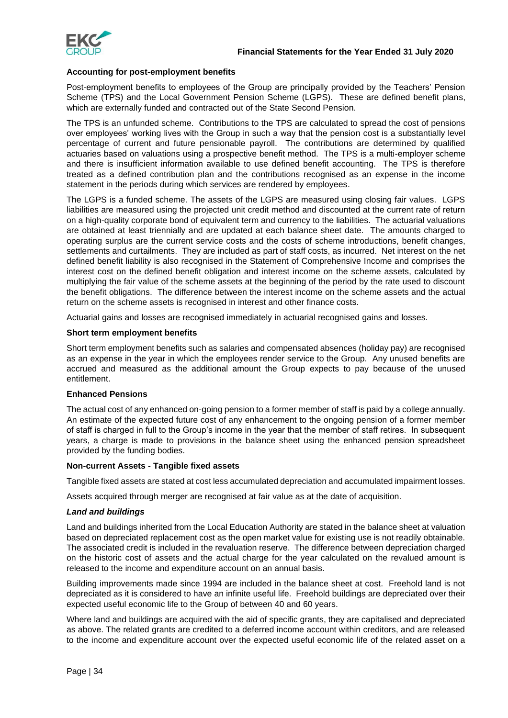

### **Accounting for post-employment benefits**

Post-employment benefits to employees of the Group are principally provided by the Teachers' Pension Scheme (TPS) and the Local Government Pension Scheme (LGPS). These are defined benefit plans, which are externally funded and contracted out of the State Second Pension.

The TPS is an unfunded scheme. Contributions to the TPS are calculated to spread the cost of pensions over employees' working lives with the Group in such a way that the pension cost is a substantially level percentage of current and future pensionable payroll. The contributions are determined by qualified actuaries based on valuations using a prospective benefit method. The TPS is a multi-employer scheme and there is insufficient information available to use defined benefit accounting. The TPS is therefore treated as a defined contribution plan and the contributions recognised as an expense in the income statement in the periods during which services are rendered by employees.

The LGPS is a funded scheme. The assets of the LGPS are measured using closing fair values. LGPS liabilities are measured using the projected unit credit method and discounted at the current rate of return on a high-quality corporate bond of equivalent term and currency to the liabilities. The actuarial valuations are obtained at least triennially and are updated at each balance sheet date. The amounts charged to operating surplus are the current service costs and the costs of scheme introductions, benefit changes, settlements and curtailments. They are included as part of staff costs, as incurred. Net interest on the net defined benefit liability is also recognised in the Statement of Comprehensive Income and comprises the interest cost on the defined benefit obligation and interest income on the scheme assets, calculated by multiplying the fair value of the scheme assets at the beginning of the period by the rate used to discount the benefit obligations. The difference between the interest income on the scheme assets and the actual return on the scheme assets is recognised in interest and other finance costs.

Actuarial gains and losses are recognised immediately in actuarial recognised gains and losses.

### **Short term employment benefits**

Short term employment benefits such as salaries and compensated absences (holiday pay) are recognised as an expense in the year in which the employees render service to the Group. Any unused benefits are accrued and measured as the additional amount the Group expects to pay because of the unused entitlement.

### **Enhanced Pensions**

The actual cost of any enhanced on-going pension to a former member of staff is paid by a college annually. An estimate of the expected future cost of any enhancement to the ongoing pension of a former member of staff is charged in full to the Group's income in the year that the member of staff retires. In subsequent years, a charge is made to provisions in the balance sheet using the enhanced pension spreadsheet provided by the funding bodies.

### **Non-current Assets - Tangible fixed assets**

Tangible fixed assets are stated at cost less accumulated depreciation and accumulated impairment losses.

Assets acquired through merger are recognised at fair value as at the date of acquisition.

### *Land and buildings*

Land and buildings inherited from the Local Education Authority are stated in the balance sheet at valuation based on depreciated replacement cost as the open market value for existing use is not readily obtainable. The associated credit is included in the revaluation reserve. The difference between depreciation charged on the historic cost of assets and the actual charge for the year calculated on the revalued amount is released to the income and expenditure account on an annual basis.

Building improvements made since 1994 are included in the balance sheet at cost. Freehold land is not depreciated as it is considered to have an infinite useful life. Freehold buildings are depreciated over their expected useful economic life to the Group of between 40 and 60 years.

Where land and buildings are acquired with the aid of specific grants, they are capitalised and depreciated as above. The related grants are credited to a deferred income account within creditors, and are released to the income and expenditure account over the expected useful economic life of the related asset on a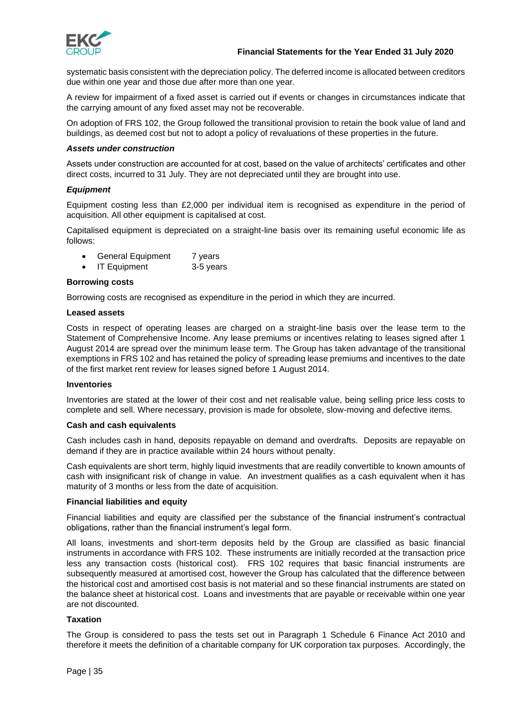

systematic basis consistent with the depreciation policy. The deferred income is allocated between creditors due within one year and those due after more than one year.

A review for impairment of a fixed asset is carried out if events or changes in circumstances indicate that the carrying amount of any fixed asset may not be recoverable.

On adoption of FRS 102, the Group followed the transitional provision to retain the book value of land and buildings, as deemed cost but not to adopt a policy of revaluations of these properties in the future.

### *Assets under construction*

Assets under construction are accounted for at cost, based on the value of architects' certificates and other direct costs, incurred to 31 July. They are not depreciated until they are brought into use.

### *Equipment*

Equipment costing less than £2,000 per individual item is recognised as expenditure in the period of acquisition. All other equipment is capitalised at cost.

Capitalised equipment is depreciated on a straight-line basis over its remaining useful economic life as follows:

- General Equipment 7 years
- IT Equipment 3-5 years

### **Borrowing costs**

Borrowing costs are recognised as expenditure in the period in which they are incurred.

### **Leased assets**

Costs in respect of operating leases are charged on a straight-line basis over the lease term to the Statement of Comprehensive Income. Any lease premiums or incentives relating to leases signed after 1 August 2014 are spread over the minimum lease term. The Group has taken advantage of the transitional exemptions in FRS 102 and has retained the policy of spreading lease premiums and incentives to the date of the first market rent review for leases signed before 1 August 2014.

#### **Inventories**

Inventories are stated at the lower of their cost and net realisable value, being selling price less costs to complete and sell. Where necessary, provision is made for obsolete, slow-moving and defective items.

#### **Cash and cash equivalents**

Cash includes cash in hand, deposits repayable on demand and overdrafts. Deposits are repayable on demand if they are in practice available within 24 hours without penalty.

Cash equivalents are short term, highly liquid investments that are readily convertible to known amounts of cash with insignificant risk of change in value. An investment qualifies as a cash equivalent when it has maturity of 3 months or less from the date of acquisition.

#### **Financial liabilities and equity**

Financial liabilities and equity are classified per the substance of the financial instrument's contractual obligations, rather than the financial instrument's legal form.

All loans, investments and short-term deposits held by the Group are classified as basic financial instruments in accordance with FRS 102. These instruments are initially recorded at the transaction price less any transaction costs (historical cost). FRS 102 requires that basic financial instruments are subsequently measured at amortised cost, however the Group has calculated that the difference between the historical cost and amortised cost basis is not material and so these financial instruments are stated on the balance sheet at historical cost. Loans and investments that are payable or receivable within one year are not discounted.

### **Taxation**

The Group is considered to pass the tests set out in Paragraph 1 Schedule 6 Finance Act 2010 and therefore it meets the definition of a charitable company for UK corporation tax purposes. Accordingly, the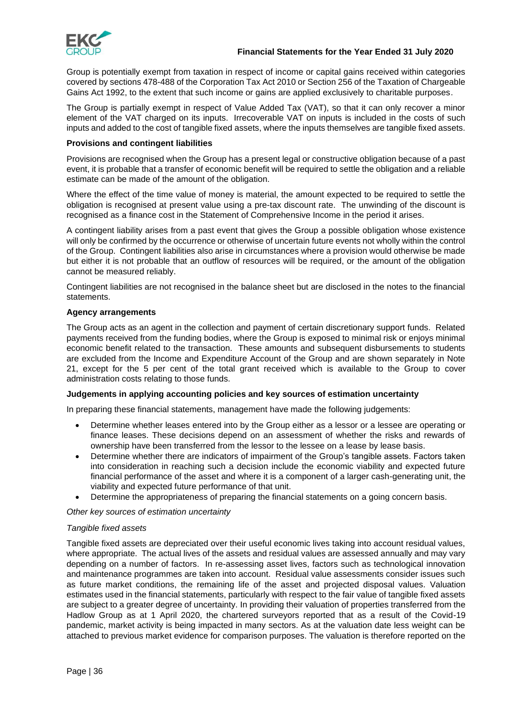

### **Financial Statements for the Year Ended 31 July 2020**

Group is potentially exempt from taxation in respect of income or capital gains received within categories covered by sections 478-488 of the Corporation Tax Act 2010 or Section 256 of the Taxation of Chargeable Gains Act 1992, to the extent that such income or gains are applied exclusively to charitable purposes.

The Group is partially exempt in respect of Value Added Tax (VAT), so that it can only recover a minor element of the VAT charged on its inputs. Irrecoverable VAT on inputs is included in the costs of such inputs and added to the cost of tangible fixed assets, where the inputs themselves are tangible fixed assets.

### **Provisions and contingent liabilities**

Provisions are recognised when the Group has a present legal or constructive obligation because of a past event, it is probable that a transfer of economic benefit will be required to settle the obligation and a reliable estimate can be made of the amount of the obligation.

Where the effect of the time value of money is material, the amount expected to be required to settle the obligation is recognised at present value using a pre-tax discount rate. The unwinding of the discount is recognised as a finance cost in the Statement of Comprehensive Income in the period it arises.

A contingent liability arises from a past event that gives the Group a possible obligation whose existence will only be confirmed by the occurrence or otherwise of uncertain future events not wholly within the control of the Group. Contingent liabilities also arise in circumstances where a provision would otherwise be made but either it is not probable that an outflow of resources will be required, or the amount of the obligation cannot be measured reliably.

Contingent liabilities are not recognised in the balance sheet but are disclosed in the notes to the financial statements.

### **Agency arrangements**

The Group acts as an agent in the collection and payment of certain discretionary support funds. Related payments received from the funding bodies, where the Group is exposed to minimal risk or enjoys minimal economic benefit related to the transaction. These amounts and subsequent disbursements to students are excluded from the Income and Expenditure Account of the Group and are shown separately in Note 21, except for the 5 per cent of the total grant received which is available to the Group to cover administration costs relating to those funds.

### **Judgements in applying accounting policies and key sources of estimation uncertainty**

In preparing these financial statements, management have made the following judgements:

- Determine whether leases entered into by the Group either as a lessor or a lessee are operating or finance leases. These decisions depend on an assessment of whether the risks and rewards of ownership have been transferred from the lessor to the lessee on a lease by lease basis.
- Determine whether there are indicators of impairment of the Group's tangible assets. Factors taken into consideration in reaching such a decision include the economic viability and expected future financial performance of the asset and where it is a component of a larger cash-generating unit, the viability and expected future performance of that unit.
- Determine the appropriateness of preparing the financial statements on a going concern basis.

*Other key sources of estimation uncertainty*

### *Tangible fixed assets*

Tangible fixed assets are depreciated over their useful economic lives taking into account residual values, where appropriate. The actual lives of the assets and residual values are assessed annually and may vary depending on a number of factors. In re-assessing asset lives, factors such as technological innovation and maintenance programmes are taken into account. Residual value assessments consider issues such as future market conditions, the remaining life of the asset and projected disposal values. Valuation estimates used in the financial statements, particularly with respect to the fair value of tangible fixed assets are subject to a greater degree of uncertainty. In providing their valuation of properties transferred from the Hadlow Group as at 1 April 2020, the chartered surveyors reported that as a result of the Covid-19 pandemic, market activity is being impacted in many sectors. As at the valuation date less weight can be attached to previous market evidence for comparison purposes. The valuation is therefore reported on the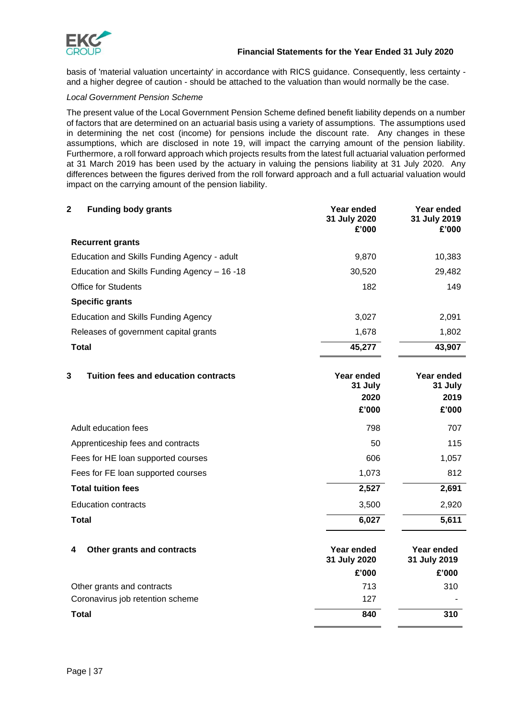

basis of 'material valuation uncertainty' in accordance with RICS guidance. Consequently, less certainty and a higher degree of caution - should be attached to the valuation than would normally be the case.

### *Local Government Pension Scheme*

The present value of the Local Government Pension Scheme defined benefit liability depends on a number of factors that are determined on an actuarial basis using a variety of assumptions. The assumptions used in determining the net cost (income) for pensions include the discount rate. Any changes in these assumptions, which are disclosed in note 19, will impact the carrying amount of the pension liability. Furthermore, a roll forward approach which projects results from the latest full actuarial valuation performed at 31 March 2019 has been used by the actuary in valuing the pensions liability at 31 July 2020. Any differences between the figures derived from the roll forward approach and a full actuarial valuation would impact on the carrying amount of the pension liability.

| $\mathbf 2$<br><b>Funding body grants</b>    | Year ended<br>31 July 2020<br>£'000    | Year ended<br>31 July 2019<br>£'000    |
|----------------------------------------------|----------------------------------------|----------------------------------------|
| <b>Recurrent grants</b>                      |                                        |                                        |
| Education and Skills Funding Agency - adult  | 9,870                                  | 10,383                                 |
| Education and Skills Funding Agency - 16 -18 | 30,520                                 | 29,482                                 |
| <b>Office for Students</b>                   | 182                                    | 149                                    |
| <b>Specific grants</b>                       |                                        |                                        |
| <b>Education and Skills Funding Agency</b>   | 3,027                                  | 2,091                                  |
| Releases of government capital grants        | 1,678                                  | 1,802                                  |
| Total                                        | 45,277                                 | 43,907                                 |
| 3<br>Tuition fees and education contracts    | Year ended<br>31 July<br>2020<br>£'000 | Year ended<br>31 July<br>2019<br>£'000 |
| Adult education fees                         | 798                                    | 707                                    |
| Apprenticeship fees and contracts            | 50                                     | 115                                    |
| Fees for HE loan supported courses           | 606                                    | 1,057                                  |
| Fees for FE loan supported courses           | 1,073                                  | 812                                    |
| <b>Total tuition fees</b>                    | 2,527                                  | 2,691                                  |
| <b>Education contracts</b>                   | 3,500                                  | 2,920                                  |
| <b>Total</b>                                 | 6,027                                  | 5,611                                  |
| Other grants and contracts<br>4              | Year ended<br>31 July 2020<br>£'000    | Year ended<br>31 July 2019<br>£'000    |
| Other grants and contracts                   | 713                                    | 310                                    |
| Coronavirus job retention scheme             | 127                                    |                                        |
| <b>Total</b>                                 | 840                                    | 310                                    |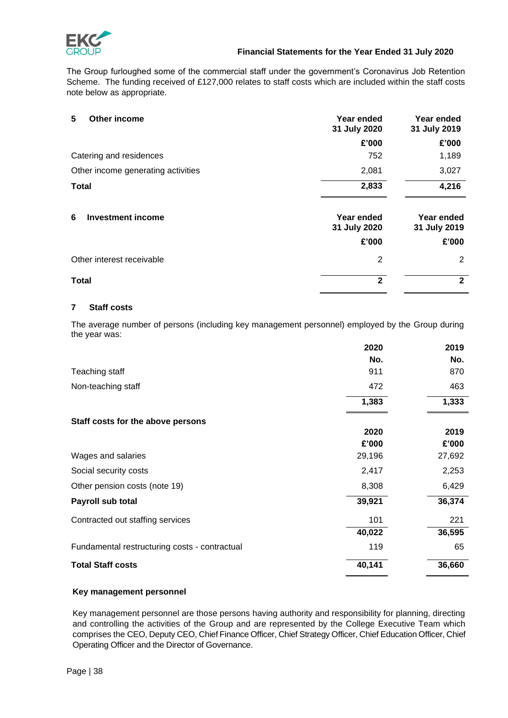

The Group furloughed some of the commercial staff under the government's Coronavirus Job Retention Scheme. The funding received of £127,000 relates to staff costs which are included within the staff costs note below as appropriate.

| Other income<br>5                  | Year ended<br>31 July 2020 | Year ended<br>31 July 2019 |
|------------------------------------|----------------------------|----------------------------|
|                                    | £'000                      | £'000                      |
| Catering and residences            | 752                        | 1,189                      |
| Other income generating activities | 2,081                      | 3,027                      |
| <b>Total</b>                       | 2,833                      | 4,216                      |
| <b>Investment income</b><br>6      | Year ended<br>31 July 2020 | Year ended<br>31 July 2019 |
|                                    | £'000                      | £'000                      |
| Other interest receivable          | $\overline{2}$             | 2                          |
| <b>Total</b>                       | $\overline{2}$             | $\mathbf{2}$               |

### **7 Staff costs**

The average number of persons (including key management personnel) employed by the Group during the year was:

|                                               | 2020   | 2019   |
|-----------------------------------------------|--------|--------|
|                                               | No.    | No.    |
| Teaching staff                                | 911    | 870    |
| Non-teaching staff                            | 472    | 463    |
|                                               | 1,383  | 1,333  |
| Staff costs for the above persons             |        |        |
|                                               | 2020   | 2019   |
|                                               | £'000  | £'000  |
| Wages and salaries                            | 29,196 | 27,692 |
| Social security costs                         | 2,417  | 2,253  |
| Other pension costs (note 19)                 | 8,308  | 6,429  |
| Payroll sub total                             | 39,921 | 36,374 |
| Contracted out staffing services              | 101    | 221    |
|                                               | 40,022 | 36,595 |
| Fundamental restructuring costs - contractual | 119    | 65     |
| <b>Total Staff costs</b>                      | 40,141 | 36,660 |

### **Key management personnel**

Key management personnel are those persons having authority and responsibility for planning, directing and controlling the activities of the Group and are represented by the College Executive Team which comprises the CEO, Deputy CEO, Chief Finance Officer, Chief Strategy Officer, Chief Education Officer, Chief Operating Officer and the Director of Governance.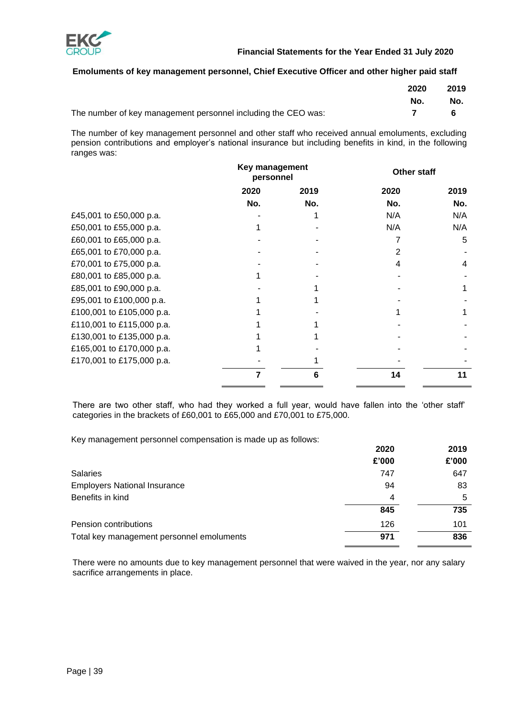

### **Emoluments of key management personnel, Chief Executive Officer and other higher paid staff**

|                                                               | 2020 | 2019 |
|---------------------------------------------------------------|------|------|
|                                                               | No.  | No.  |
| The number of key management personnel including the CEO was: |      |      |

The number of key management personnel and other staff who received annual emoluments, excluding pension contributions and employer's national insurance but including benefits in kind, in the following ranges was:

|                           | Key management<br>personnel |      | Other staff |      |
|---------------------------|-----------------------------|------|-------------|------|
|                           | 2020                        | 2019 | 2020        | 2019 |
|                           | No.                         | No.  | No.         | No.  |
| £45,001 to £50,000 p.a.   |                             |      | N/A         | N/A  |
| £50,001 to £55,000 p.a.   |                             |      | N/A         | N/A  |
| £60,001 to £65,000 p.a.   |                             |      |             | 5    |
| £65,001 to £70,000 p.a.   |                             |      |             |      |
| £70,001 to £75,000 p.a.   |                             |      |             | 4    |
| £80,001 to £85,000 p.a.   |                             |      |             |      |
| £85,001 to £90,000 p.a.   |                             |      |             |      |
| £95,001 to £100,000 p.a.  |                             |      |             |      |
| £100,001 to £105,000 p.a. |                             |      |             |      |
| £110,001 to £115,000 p.a. |                             |      |             |      |
| £130,001 to £135,000 p.a. |                             |      |             |      |
| £165,001 to £170,000 p.a. |                             |      |             |      |
| £170,001 to £175,000 p.a. |                             |      |             |      |
|                           |                             |      | 14          |      |

There are two other staff, who had they worked a full year, would have fallen into the 'other staff' categories in the brackets of £60,001 to £65,000 and £70,001 to £75,000.

Key management personnel compensation is made up as follows:

|                                           | 2020  | 2019  |
|-------------------------------------------|-------|-------|
|                                           | £'000 | £'000 |
| <b>Salaries</b>                           | 747   | 647   |
| <b>Employers National Insurance</b>       | 94    | 83    |
| Benefits in kind                          | 4     | 5     |
|                                           | 845   | 735   |
| Pension contributions                     | 126   | 101   |
| Total key management personnel emoluments | 971   | 836   |

There were no amounts due to key management personnel that were waived in the year, nor any salary sacrifice arrangements in place.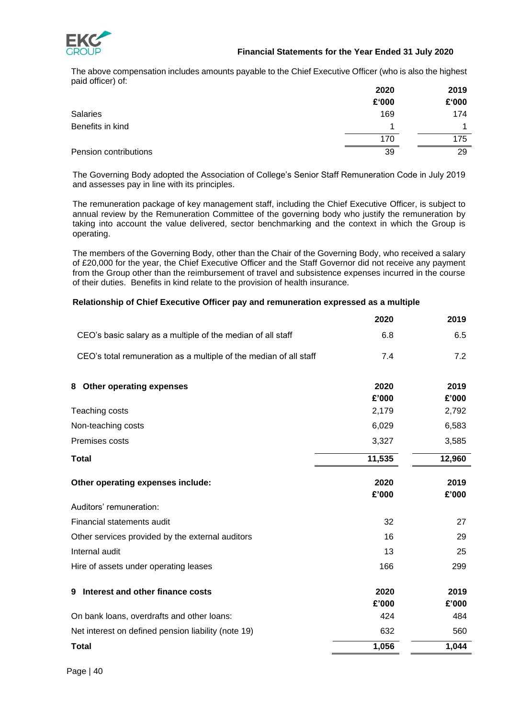

### **Financial Statements for the Year Ended 31 July 2020**

The above compensation includes amounts payable to the Chief Executive Officer (who is also the highest paid officer) of:

|                       | 2020  | 2019  |
|-----------------------|-------|-------|
|                       | £'000 | £'000 |
| <b>Salaries</b>       | 169   | 174   |
| Benefits in kind      | 1     |       |
|                       | 170   | 175   |
| Pension contributions | 39    | 29    |

The Governing Body adopted the Association of College's Senior Staff Remuneration Code in July 2019 and assesses pay in line with its principles.

The remuneration package of key management staff, including the Chief Executive Officer, is subject to annual review by the Remuneration Committee of the governing body who justify the remuneration by taking into account the value delivered, sector benchmarking and the context in which the Group is operating.

The members of the Governing Body, other than the Chair of the Governing Body, who received a salary of £20,000 for the year, the Chief Executive Officer and the Staff Governor did not receive any payment from the Group other than the reimbursement of travel and subsistence expenses incurred in the course of their duties. Benefits in kind relate to the provision of health insurance.

### **Relationship of Chief Executive Officer pay and remuneration expressed as a multiple**

|                                                                   | 2020          | 2019          |
|-------------------------------------------------------------------|---------------|---------------|
| CEO's basic salary as a multiple of the median of all staff       | 6.8           | 6.5           |
| CEO's total remuneration as a multiple of the median of all staff | 7.4           | 7.2           |
| Other operating expenses<br>8                                     | 2020<br>£'000 | 2019<br>£'000 |
| Teaching costs                                                    | 2,179         | 2,792         |
| Non-teaching costs                                                | 6,029         | 6,583         |
| Premises costs                                                    | 3,327         | 3,585         |
| <b>Total</b>                                                      | 11,535        | 12,960        |
| Other operating expenses include:                                 | 2020<br>£'000 | 2019<br>£'000 |
| Auditors' remuneration:                                           |               |               |
| Financial statements audit                                        | 32            | 27            |
| Other services provided by the external auditors                  | 16            | 29            |
| Internal audit                                                    | 13            | 25            |
| Hire of assets under operating leases                             | 166           | 299           |
| Interest and other finance costs<br>9                             | 2020          | 2019          |
|                                                                   | £'000         | £'000         |
| On bank loans, overdrafts and other loans:                        | 424           | 484           |
| Net interest on defined pension liability (note 19)               | 632           | 560           |
| <b>Total</b>                                                      | 1,056         | 1,044         |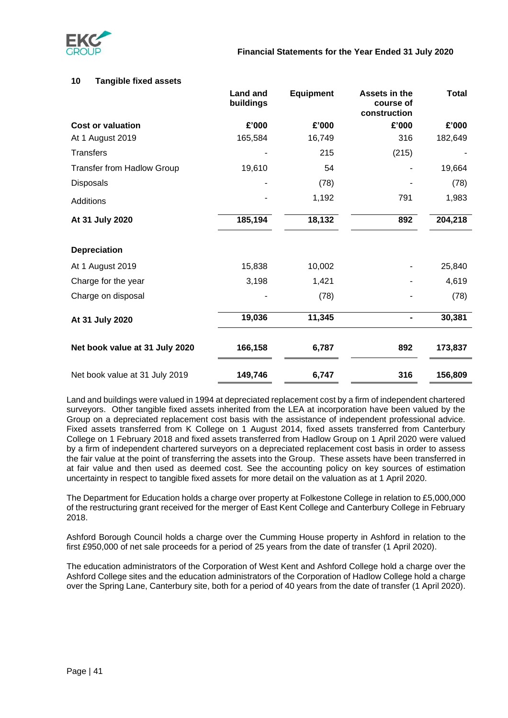

### **10 Tangible fixed assets**

|                                   | Land and<br>buildings | <b>Equipment</b> | Assets in the<br>course of<br>construction | <b>Total</b> |
|-----------------------------------|-----------------------|------------------|--------------------------------------------|--------------|
| <b>Cost or valuation</b>          | £'000                 | £'000            | £'000                                      | £'000        |
| At 1 August 2019                  | 165,584               | 16,749           | 316                                        | 182,649      |
| <b>Transfers</b>                  |                       | 215              | (215)                                      |              |
| <b>Transfer from Hadlow Group</b> | 19,610                | 54               |                                            | 19,664       |
| Disposals                         |                       | (78)             |                                            | (78)         |
| Additions                         |                       | 1,192            | 791                                        | 1,983        |
| At 31 July 2020                   | 185,194               | 18,132           | 892                                        | 204,218      |
| <b>Depreciation</b>               |                       |                  |                                            |              |
| At 1 August 2019                  | 15,838                | 10,002           |                                            | 25,840       |
| Charge for the year               | 3,198                 | 1,421            |                                            | 4,619        |
| Charge on disposal                |                       | (78)             |                                            | (78)         |
| At 31 July 2020                   | 19,036                | 11,345           | $\blacksquare$                             | 30,381       |
| Net book value at 31 July 2020    | 166,158               | 6,787            | 892                                        | 173,837      |
| Net book value at 31 July 2019    | 149,746               | 6,747            | 316                                        | 156,809      |

Land and buildings were valued in 1994 at depreciated replacement cost by a firm of independent chartered surveyors. Other tangible fixed assets inherited from the LEA at incorporation have been valued by the Group on a depreciated replacement cost basis with the assistance of independent professional advice. Fixed assets transferred from K College on 1 August 2014, fixed assets transferred from Canterbury College on 1 February 2018 and fixed assets transferred from Hadlow Group on 1 April 2020 were valued by a firm of independent chartered surveyors on a depreciated replacement cost basis in order to assess the fair value at the point of transferring the assets into the Group. These assets have been transferred in at fair value and then used as deemed cost. See the accounting policy on key sources of estimation uncertainty in respect to tangible fixed assets for more detail on the valuation as at 1 April 2020.

The Department for Education holds a charge over property at Folkestone College in relation to £5,000,000 of the restructuring grant received for the merger of East Kent College and Canterbury College in February 2018.

Ashford Borough Council holds a charge over the Cumming House property in Ashford in relation to the first £950,000 of net sale proceeds for a period of 25 years from the date of transfer (1 April 2020).

The education administrators of the Corporation of West Kent and Ashford College hold a charge over the Ashford College sites and the education administrators of the Corporation of Hadlow College hold a charge over the Spring Lane, Canterbury site, both for a period of 40 years from the date of transfer (1 April 2020).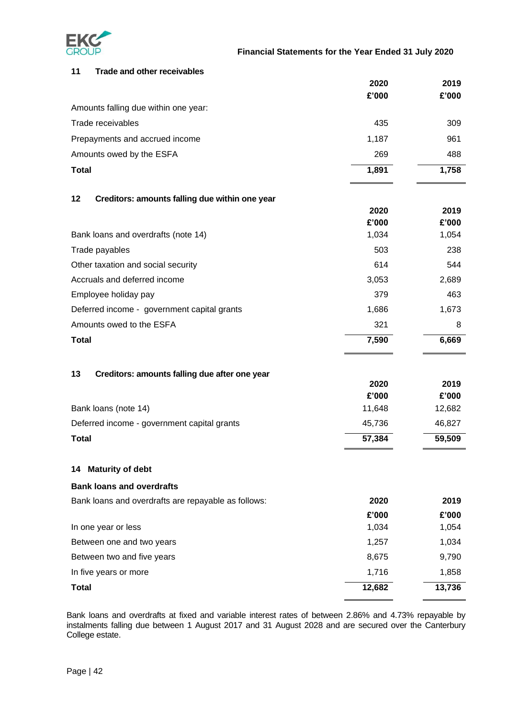

| 11           | <b>Trade and other receivables</b>                  |        |        |
|--------------|-----------------------------------------------------|--------|--------|
|              |                                                     | 2020   | 2019   |
|              |                                                     | £'000  | £'000  |
|              | Amounts falling due within one year:                |        |        |
|              | Trade receivables                                   | 435    | 309    |
|              | Prepayments and accrued income                      | 1,187  | 961    |
|              | Amounts owed by the ESFA                            | 269    | 488    |
| <b>Total</b> |                                                     | 1,891  | 1,758  |
| 12           | Creditors: amounts falling due within one year      |        |        |
|              |                                                     | 2020   | 2019   |
|              |                                                     | £'000  | £'000  |
|              | Bank loans and overdrafts (note 14)                 | 1,034  | 1,054  |
|              | Trade payables                                      | 503    | 238    |
|              | Other taxation and social security                  | 614    | 544    |
|              | Accruals and deferred income                        | 3,053  | 2,689  |
|              | Employee holiday pay                                | 379    | 463    |
|              | Deferred income - government capital grants         | 1,686  | 1,673  |
|              | Amounts owed to the ESFA                            | 321    | 8      |
| <b>Total</b> |                                                     | 7,590  | 6,669  |
| 13           | Creditors: amounts falling due after one year       |        |        |
|              |                                                     | 2020   | 2019   |
|              |                                                     | £'000  | £'000  |
|              | Bank loans (note 14)                                | 11,648 | 12,682 |
|              | Deferred income - government capital grants         | 45,736 | 46,827 |
| <b>Total</b> |                                                     | 57,384 | 59,509 |
|              | 14 Maturity of debt                                 |        |        |
|              | <b>Bank loans and overdrafts</b>                    |        |        |
|              | Bank loans and overdrafts are repayable as follows: | 2020   | 2019   |
|              |                                                     | £'000  | £'000  |
|              | In one year or less                                 | 1,034  | 1,054  |
|              | Between one and two years                           | 1,257  | 1,034  |
|              | Between two and five years                          | 8,675  | 9,790  |
|              | In five years or more                               | 1,716  | 1,858  |
| <b>Total</b> |                                                     | 12,682 | 13,736 |

Bank loans and overdrafts at fixed and variable interest rates of between 2.86% and 4.73% repayable by instalments falling due between 1 August 2017 and 31 August 2028 and are secured over the Canterbury College estate.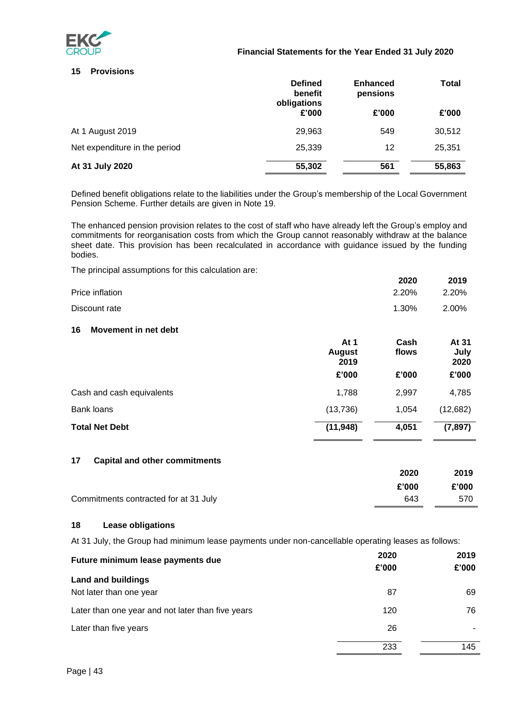

### **Financial Statements for the Year Ended 31 July 2020**

### **15 Provisions**

|                               | <b>Defined</b><br>benefit<br>obligations | <b>Enhanced</b><br>pensions | Total  |
|-------------------------------|------------------------------------------|-----------------------------|--------|
|                               | £'000                                    | £'000                       | £'000  |
| At 1 August 2019              | 29.963                                   | 549                         | 30,512 |
| Net expenditure in the period | 25,339                                   | 12                          | 25,351 |
| At 31 July 2020               | 55,302                                   | 561                         | 55,863 |

Defined benefit obligations relate to the liabilities under the Group's membership of the Local Government Pension Scheme. Further details are given in Note 19.

. The enhanced pension provision relates to the cost of staff who have already left the Group's employ and commitments for reorganisation costs from which the Group cannot reasonably withdraw at the balance sheet date. This provision has been recalculated in accordance with guidance issued by the funding bodies.

The principal assumptions for this calculation are:

|                            |                               | 2020          | 2019                  |
|----------------------------|-------------------------------|---------------|-----------------------|
| Price inflation            |                               | 2.20%         | 2.20%                 |
| Discount rate              |                               | 1.30%         | 2.00%                 |
| Movement in net debt<br>16 |                               |               |                       |
|                            | At 1<br><b>August</b><br>2019 | Cash<br>flows | At 31<br>July<br>2020 |
|                            | £'000                         | £'000         | £'000                 |
| Cash and cash equivalents  | 1,788                         | 2,997         | 4,785                 |
| <b>Bank loans</b>          | (13, 736)                     | 1,054         | (12,682)              |
| <b>Total Net Debt</b>      | (11, 948)                     | 4,051         | (7, 897)              |

### **17 Capital and other commitments**

|                                       | 2020  | 2019  |
|---------------------------------------|-------|-------|
|                                       | £'000 | £'000 |
| Commitments contracted for at 31 July | 643   | 570   |

### **18 Lease obligations**

At 31 July, the Group had minimum lease payments under non-cancellable operating leases as follows:

| Future minimum lease payments due                    | 2020<br>£'000 | 2019<br>£'000 |
|------------------------------------------------------|---------------|---------------|
| <b>Land and buildings</b><br>Not later than one year | 87            | 69            |
| Later than one year and not later than five years    | 120           | 76            |
| Later than five years                                | 26            |               |
|                                                      | 233           | 145           |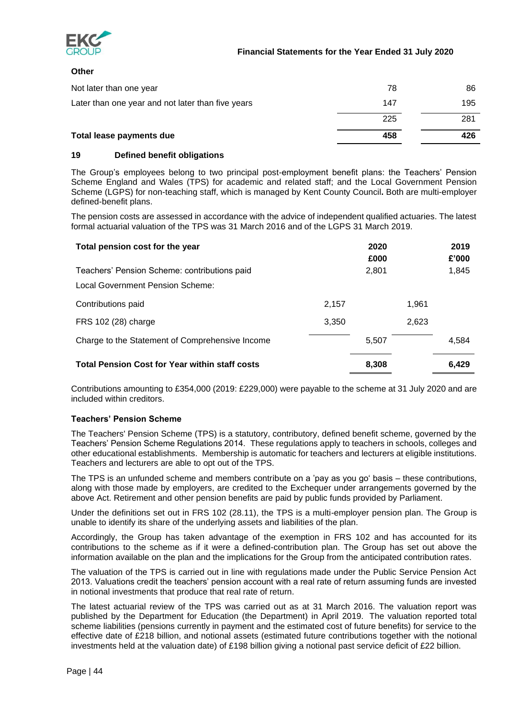

### **Other**

| Not later than one year                           | 78  | 86  |
|---------------------------------------------------|-----|-----|
| Later than one year and not later than five years | 147 | 195 |
|                                                   | 225 | 281 |
| Total lease payments due                          | 458 | 426 |

### **19 Defined benefit obligations**

The Group's employees belong to two principal post-employment benefit plans: the Teachers' Pension Scheme England and Wales (TPS) for academic and related staff; and the Local Government Pension Scheme (LGPS) for non-teaching staff, which is managed by Kent County Council**.** Both are multi-employer defined-benefit plans.

The pension costs are assessed in accordance with the advice of independent qualified actuaries. The latest formal actuarial valuation of the TPS was 31 March 2016 and of the LGPS 31 March 2019.

| Total pension cost for the year                       |       | 2020<br>£000 |       | 2019<br>£'000 |
|-------------------------------------------------------|-------|--------------|-------|---------------|
| Teachers' Pension Scheme: contributions paid          |       | 2,801        |       | 1,845         |
| <b>Local Government Pension Scheme:</b>               |       |              |       |               |
| Contributions paid                                    | 2,157 |              | 1,961 |               |
| FRS 102 (28) charge                                   | 3,350 |              | 2,623 |               |
| Charge to the Statement of Comprehensive Income       |       | 5,507        |       | 4,584         |
| <b>Total Pension Cost for Year within staff costs</b> |       | 8.308        |       | 6.429         |

Contributions amounting to £354,000 (2019: £229,000) were payable to the scheme at 31 July 2020 and are included within creditors.

### **Teachers' Pension Scheme**

The Teachers' Pension Scheme (TPS) is a statutory, contributory, defined benefit scheme, governed by the Teachers' Pension Scheme Regulations 2014. These regulations apply to teachers in schools, colleges and other educational establishments. Membership is automatic for teachers and lecturers at eligible institutions. Teachers and lecturers are able to opt out of the TPS.

The TPS is an unfunded scheme and members contribute on a 'pay as you go' basis – these contributions, along with those made by employers, are credited to the Exchequer under arrangements governed by the above Act. Retirement and other pension benefits are paid by public funds provided by Parliament.

Under the definitions set out in FRS 102 (28.11), the TPS is a multi-employer pension plan. The Group is unable to identify its share of the underlying assets and liabilities of the plan.

Accordingly, the Group has taken advantage of the exemption in FRS 102 and has accounted for its contributions to the scheme as if it were a defined-contribution plan. The Group has set out above the information available on the plan and the implications for the Group from the anticipated contribution rates.

The valuation of the TPS is carried out in line with regulations made under the Public Service Pension Act 2013. Valuations credit the teachers' pension account with a real rate of return assuming funds are invested in notional investments that produce that real rate of return.

The latest actuarial review of the TPS was carried out as at 31 March 2016. The valuation report was published by the Department for Education (the Department) in April 2019. The valuation reported total scheme liabilities (pensions currently in payment and the estimated cost of future benefits) for service to the effective date of £218 billion, and notional assets (estimated future contributions together with the notional investments held at the valuation date) of £198 billion giving a notional past service deficit of £22 billion.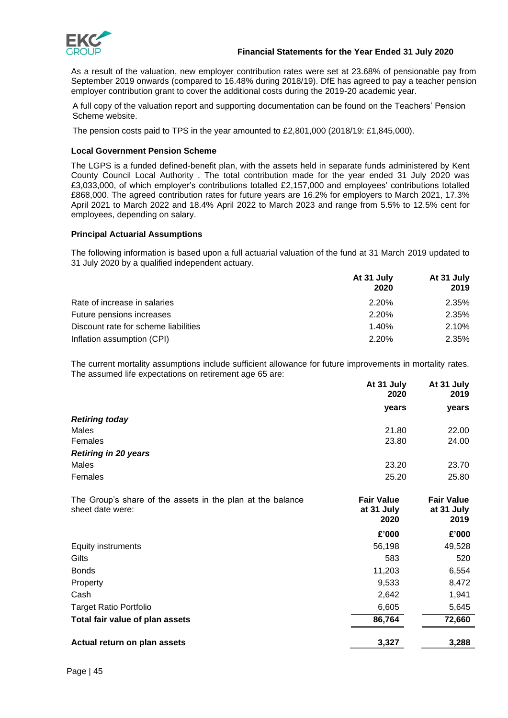

### **Financial Statements for the Year Ended 31 July 2020**

As a result of the valuation, new employer contribution rates were set at 23.68% of pensionable pay from September 2019 onwards (compared to 16.48% during 2018/19). DfE has agreed to pay a teacher pension employer contribution grant to cover the additional costs during the 2019-20 academic year.

A full copy of the valuation report and supporting documentation can be found on the Teachers' Pension Scheme website.

The pension costs paid to TPS in the year amounted to £2,801,000 (2018/19: £1,845,000).

### **Local Government Pension Scheme**

The LGPS is a funded defined-benefit plan, with the assets held in separate funds administered by Kent County Council Local Authority . The total contribution made for the year ended 31 July 2020 was £3,033,000, of which employer's contributions totalled £2,157,000 and employees' contributions totalled £868,000. The agreed contribution rates for future years are 16.2% for employers to March 2021, 17.3% April 2021 to March 2022 and 18.4% April 2022 to March 2023 and range from 5.5% to 12.5% cent for employees, depending on salary.

### **Principal Actuarial Assumptions**

The following information is based upon a full actuarial valuation of the fund at 31 March 2019 updated to 31 July 2020 by a qualified independent actuary.

|                                      | At 31 July<br>2020 | At 31 July<br>2019 |
|--------------------------------------|--------------------|--------------------|
| Rate of increase in salaries         | 2.20%              | 2.35%              |
| Future pensions increases            | 2.20%              | 2.35%              |
| Discount rate for scheme liabilities | 1.40%              | 2.10%              |
| Inflation assumption (CPI)           | 2.20%              | 2.35%              |

The current mortality assumptions include sufficient allowance for future improvements in mortality rates. The assumed life expectations on retirement age 65 are:

|                                                                                | At 31 July<br>2020                      | At 31 July<br>2019                      |
|--------------------------------------------------------------------------------|-----------------------------------------|-----------------------------------------|
|                                                                                | years                                   | years                                   |
| <b>Retiring today</b>                                                          |                                         |                                         |
| Males                                                                          | 21.80                                   | 22.00                                   |
| Females                                                                        | 23.80                                   | 24.00                                   |
| <b>Retiring in 20 years</b>                                                    |                                         |                                         |
| Males                                                                          | 23.20                                   | 23.70                                   |
| Females                                                                        | 25.20                                   | 25.80                                   |
| The Group's share of the assets in the plan at the balance<br>sheet date were: | <b>Fair Value</b><br>at 31 July<br>2020 | <b>Fair Value</b><br>at 31 July<br>2019 |
|                                                                                | £'000                                   | £'000                                   |
| Equity instruments                                                             | 56,198                                  | 49,528                                  |
| Gilts                                                                          | 583                                     | 520                                     |
| <b>Bonds</b>                                                                   | 11,203                                  | 6,554                                   |
| Property                                                                       | 9,533                                   | 8,472                                   |
| Cash                                                                           | 2,642                                   | 1,941                                   |
| <b>Target Ratio Portfolio</b>                                                  | 6,605                                   | 5,645                                   |
| Total fair value of plan assets                                                | 86,764                                  | 72,660                                  |
| Actual return on plan assets                                                   | 3,327                                   | 3,288                                   |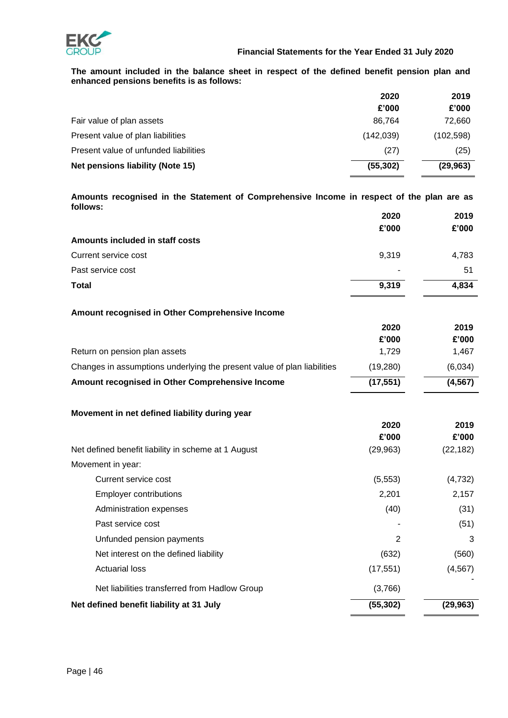

**The amount included in the balance sheet in respect of the defined benefit pension plan and enhanced pensions benefits is as follows:**

|                                       | 2020       | 2019       |
|---------------------------------------|------------|------------|
|                                       | £'000      | £'000      |
| Fair value of plan assets             | 86.764     | 72,660     |
| Present value of plan liabilities     | (142, 039) | (102, 598) |
| Present value of unfunded liabilities | (27)       | (25)       |
| Net pensions liability (Note 15)      | (55, 302)  | (29, 963)  |

**Amounts recognised in the Statement of Comprehensive Income in respect of the plan are as follows: 2020 2019**

|                                                                         | ZUZU<br>£'000 | 20 I Y<br>£'000 |
|-------------------------------------------------------------------------|---------------|-----------------|
| Amounts included in staff costs                                         |               |                 |
| Current service cost                                                    | 9,319         | 4,783           |
| Past service cost                                                       |               | 51              |
| <b>Total</b>                                                            |               |                 |
|                                                                         | 9,319         | 4,834           |
| Amount recognised in Other Comprehensive Income                         |               |                 |
|                                                                         | 2020          | 2019            |
|                                                                         | £'000         | £'000           |
| Return on pension plan assets                                           | 1,729         | 1,467           |
| Changes in assumptions underlying the present value of plan liabilities | (19, 280)     | (6,034)         |
| Amount recognised in Other Comprehensive Income                         | (17, 551)     | (4, 567)        |
| Movement in net defined liability during year                           |               |                 |
|                                                                         | 2020          | 2019            |
|                                                                         | £'000         | £'000           |
| Net defined benefit liability in scheme at 1 August                     | (29, 963)     | (22, 182)       |
| Movement in year:                                                       |               |                 |
| Current service cost                                                    | (5, 553)      | (4, 732)        |
| <b>Employer contributions</b>                                           | 2,201         | 2,157           |
| Administration expenses                                                 | (40)          | (31)            |
| Past service cost                                                       |               | (51)            |
| Unfunded pension payments                                               | 2             | 3               |
| Net interest on the defined liability                                   | (632)         | (560)           |
| <b>Actuarial loss</b>                                                   | (17, 551)     | (4, 567)        |
| Net liabilities transferred from Hadlow Group                           | (3,766)       |                 |
| Net defined benefit liability at 31 July                                | (55, 302)     | (29, 963)       |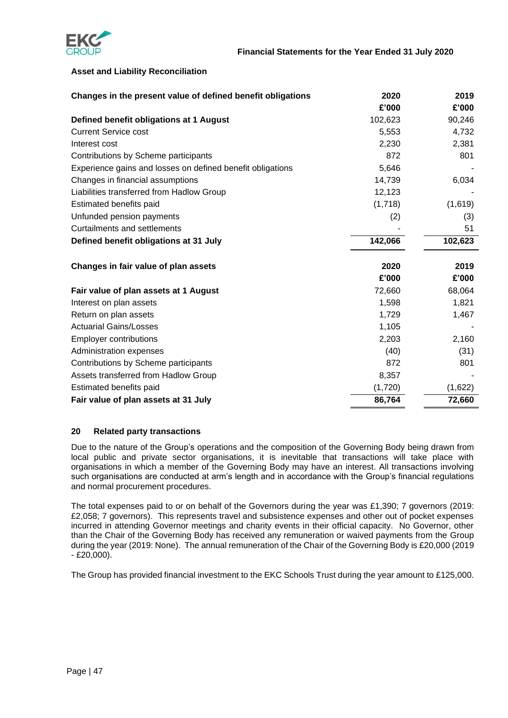

### **Asset and Liability Reconciliation**

| Changes in the present value of defined benefit obligations | 2020    | 2019    |
|-------------------------------------------------------------|---------|---------|
|                                                             | £'000   | £'000   |
| Defined benefit obligations at 1 August                     | 102,623 | 90,246  |
| <b>Current Service cost</b>                                 | 5,553   | 4,732   |
| Interest cost                                               | 2,230   | 2,381   |
| Contributions by Scheme participants                        | 872     | 801     |
| Experience gains and losses on defined benefit obligations  | 5,646   |         |
| Changes in financial assumptions                            | 14,739  | 6,034   |
| Liabilities transferred from Hadlow Group                   | 12,123  |         |
| Estimated benefits paid                                     | (1,718) | (1,619) |
| Unfunded pension payments                                   | (2)     | (3)     |
| <b>Curtailments and settlements</b>                         |         | 51      |
| Defined benefit obligations at 31 July                      | 142,066 | 102,623 |
| Changes in fair value of plan assets                        | 2020    | 2019    |
|                                                             | £'000   | £'000   |
| Fair value of plan assets at 1 August                       | 72,660  | 68,064  |
| Interest on plan assets                                     | 1,598   | 1,821   |
| Return on plan assets                                       | 1,729   | 1,467   |
| <b>Actuarial Gains/Losses</b>                               | 1,105   |         |
| <b>Employer contributions</b>                               | 2,203   | 2,160   |
| Administration expenses                                     | (40)    | (31)    |
| Contributions by Scheme participants                        | 872     | 801     |
| Assets transferred from Hadlow Group                        | 8,357   |         |
| Estimated benefits paid                                     | (1,720) | (1,622) |
| Fair value of plan assets at 31 July                        | 86,764  | 72,660  |

### **20 Related party transactions**

Due to the nature of the Group's operations and the composition of the Governing Body being drawn from local public and private sector organisations, it is inevitable that transactions will take place with organisations in which a member of the Governing Body may have an interest. All transactions involving such organisations are conducted at arm's length and in accordance with the Group's financial regulations and normal procurement procedures.

The total expenses paid to or on behalf of the Governors during the year was £1,390; 7 governors (2019: £2,058; 7 governors). This represents travel and subsistence expenses and other out of pocket expenses incurred in attending Governor meetings and charity events in their official capacity. No Governor, other than the Chair of the Governing Body has received any remuneration or waived payments from the Group during the year (2019: None). The annual remuneration of the Chair of the Governing Body is £20,000 (2019 - £20,000).

The Group has provided financial investment to the EKC Schools Trust during the year amount to £125,000.